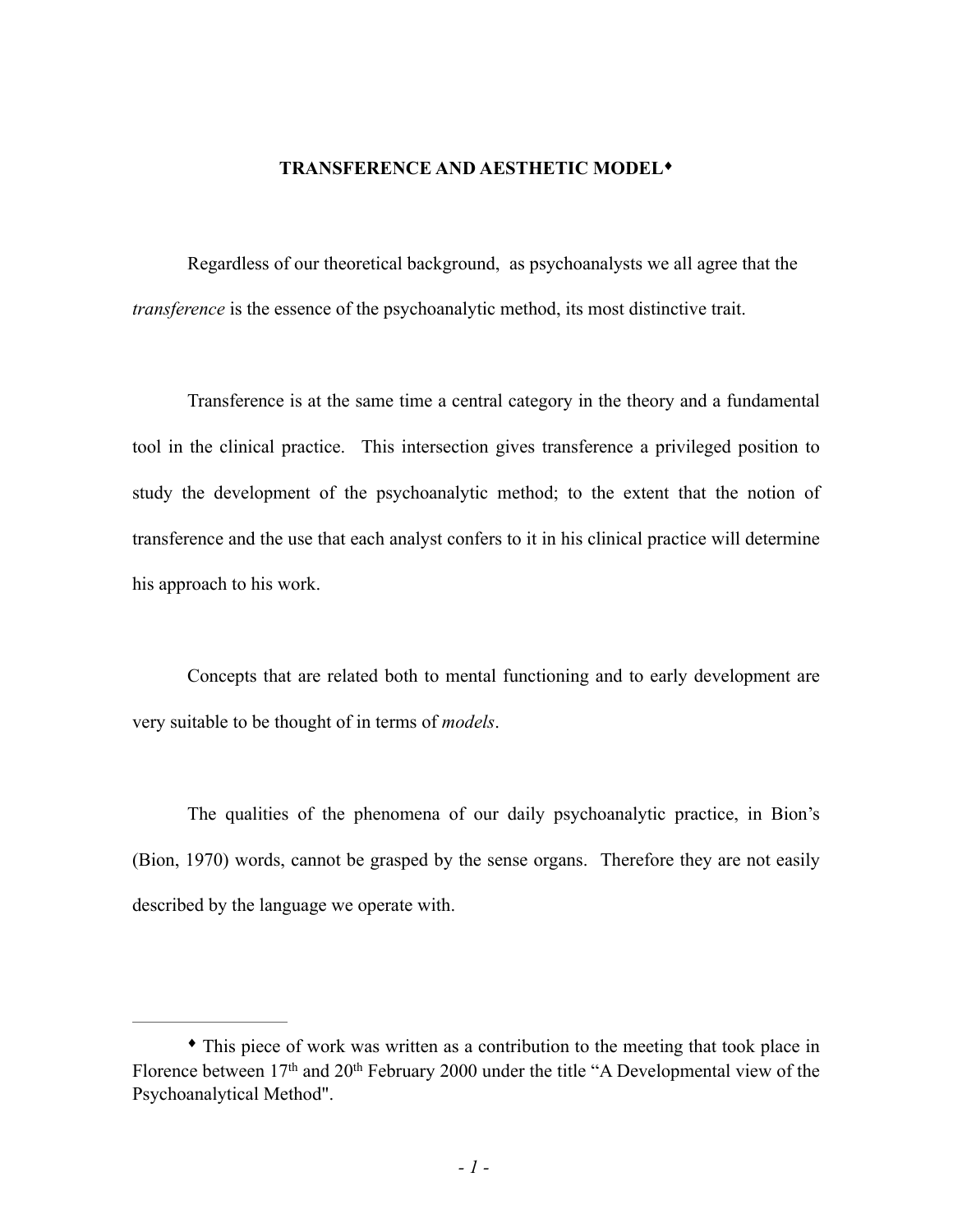#### **TRANSFERENCE AND AESTHETIC MODEL**♦

Regardless of our theoretical background, as psychoanalysts we all agree that the *transference* is the essence of the psychoanalytic method, its most distinctive trait.

Transference is at the same time a central category in the theory and a fundamental tool in the clinical practice. This intersection gives transference a privileged position to study the development of the psychoanalytic method; to the extent that the notion of transference and the use that each analyst confers to it in his clinical practice will determine his approach to his work.

Concepts that are related both to mental functioning and to early development are very suitable to be thought of in terms of *models*.

The qualities of the phenomena of our daily psychoanalytic practice, in Bion's (Bion, 1970) words, cannot be grasped by the sense organs. Therefore they are not easily described by the language we operate with.

<sup>♦</sup> This piece of work was written as a contribution to the meeting that took place in Florence between 17<sup>th</sup> and 20<sup>th</sup> February 2000 under the title "A Developmental view of the Psychoanalytical Method".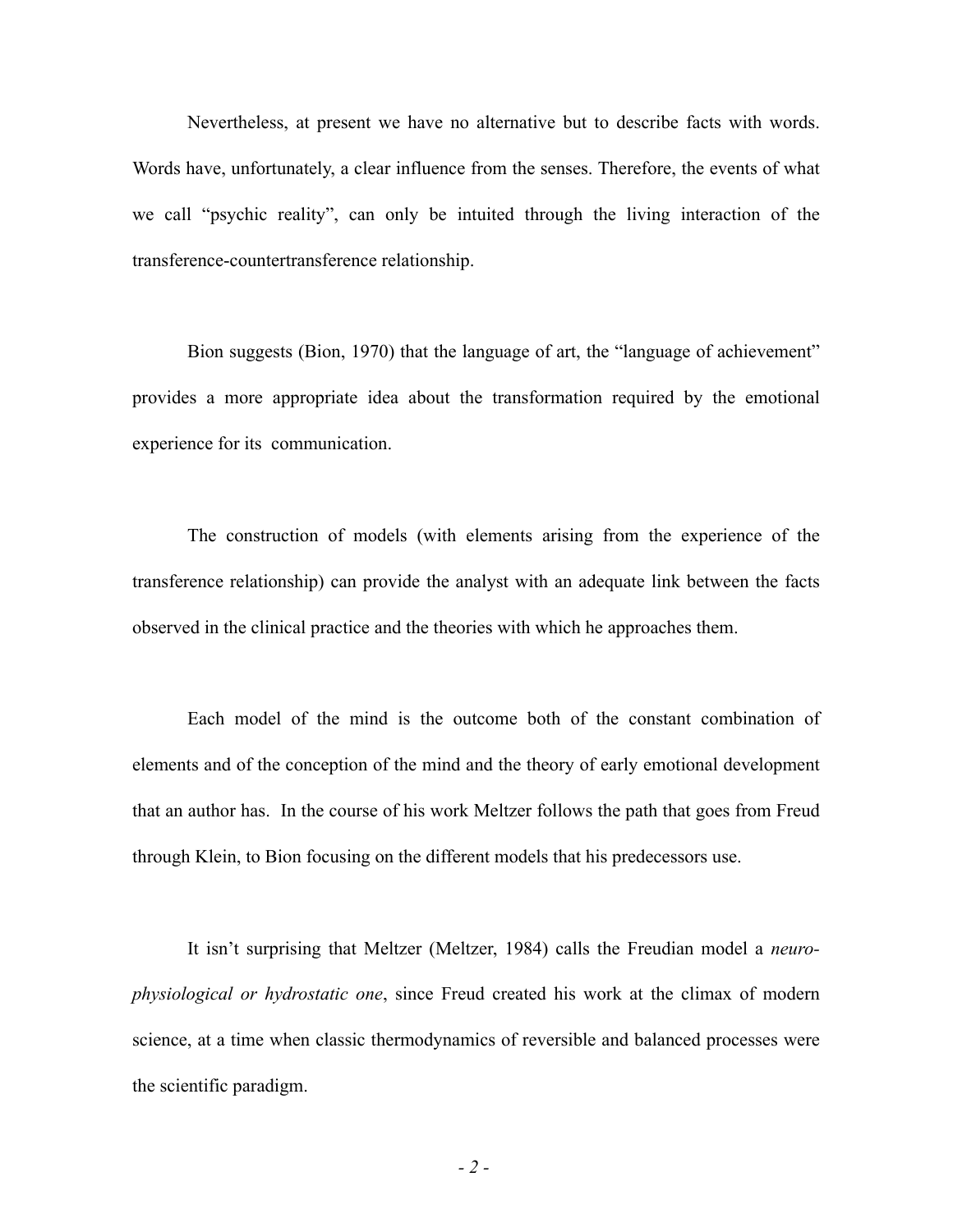Nevertheless, at present we have no alternative but to describe facts with words. Words have, unfortunately, a clear influence from the senses. Therefore, the events of what we call "psychic reality", can only be intuited through the living interaction of the transference-countertransference relationship.

Bion suggests (Bion, 1970) that the language of art, the "language of achievement" provides a more appropriate idea about the transformation required by the emotional experience for its communication.

The construction of models (with elements arising from the experience of the transference relationship) can provide the analyst with an adequate link between the facts observed in the clinical practice and the theories with which he approaches them.

Each model of the mind is the outcome both of the constant combination of elements and of the conception of the mind and the theory of early emotional development that an author has. In the course of his work Meltzer follows the path that goes from Freud through Klein, to Bion focusing on the different models that his predecessors use.

It isn't surprising that Meltzer (Meltzer, 1984) calls the Freudian model a *neurophysiological or hydrostatic one*, since Freud created his work at the climax of modern science, at a time when classic thermodynamics of reversible and balanced processes were the scientific paradigm.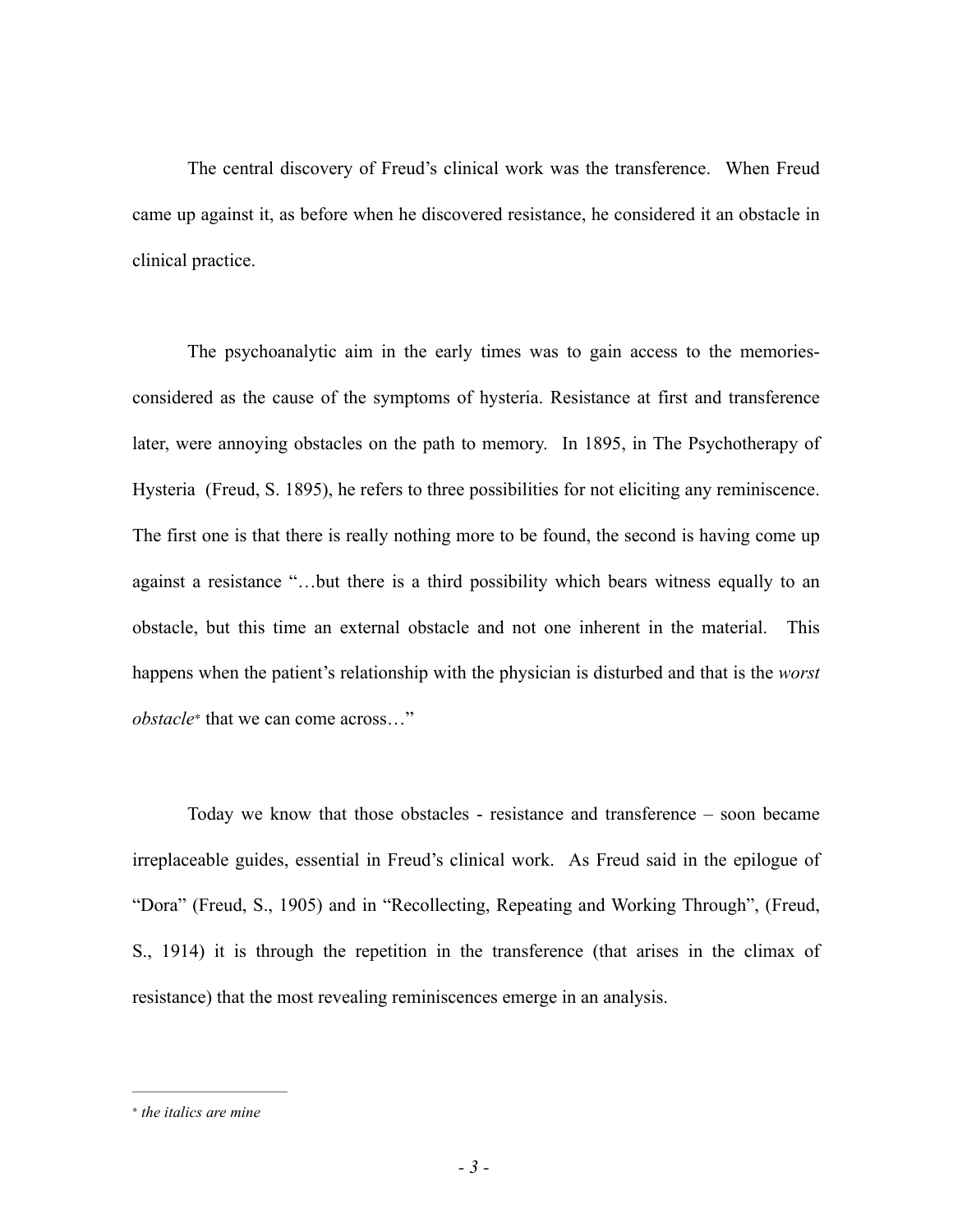The central discovery of Freud's clinical work was the transference. When Freud came up against it, as before when he discovered resistance, he considered it an obstacle in clinical practice.

The psychoanalytic aim in the early times was to gain access to the memoriesconsidered as the cause of the symptoms of hysteria. Resistance at first and transference later, were annoying obstacles on the path to memory. In 1895, in The Psychotherapy of Hysteria (Freud, S. 1895), he refers to three possibilities for not eliciting any reminiscence. The first one is that there is really nothing more to be found, the second is having come up against a resistance "…but there is a third possibility which bears witness equally to an obstacle, but this time an external obstacle and not one inherent in the material. This happens when the patient's relationship with the physician is disturbed and that is the *worst obstacle*<sup>\*</sup> that we can come across..."

Today we know that those obstacles - resistance and transference – soon became irreplaceable guides, essential in Freud's clinical work. As Freud said in the epilogue of "Dora" (Freud, S., 1905) and in "Recollecting, Repeating and Working Through", (Freud, S., 1914) it is through the repetition in the transference (that arises in the climax of resistance) that the most revealing reminiscences emerge in an analysis.

*the italics are mine* <sup>∗</sup>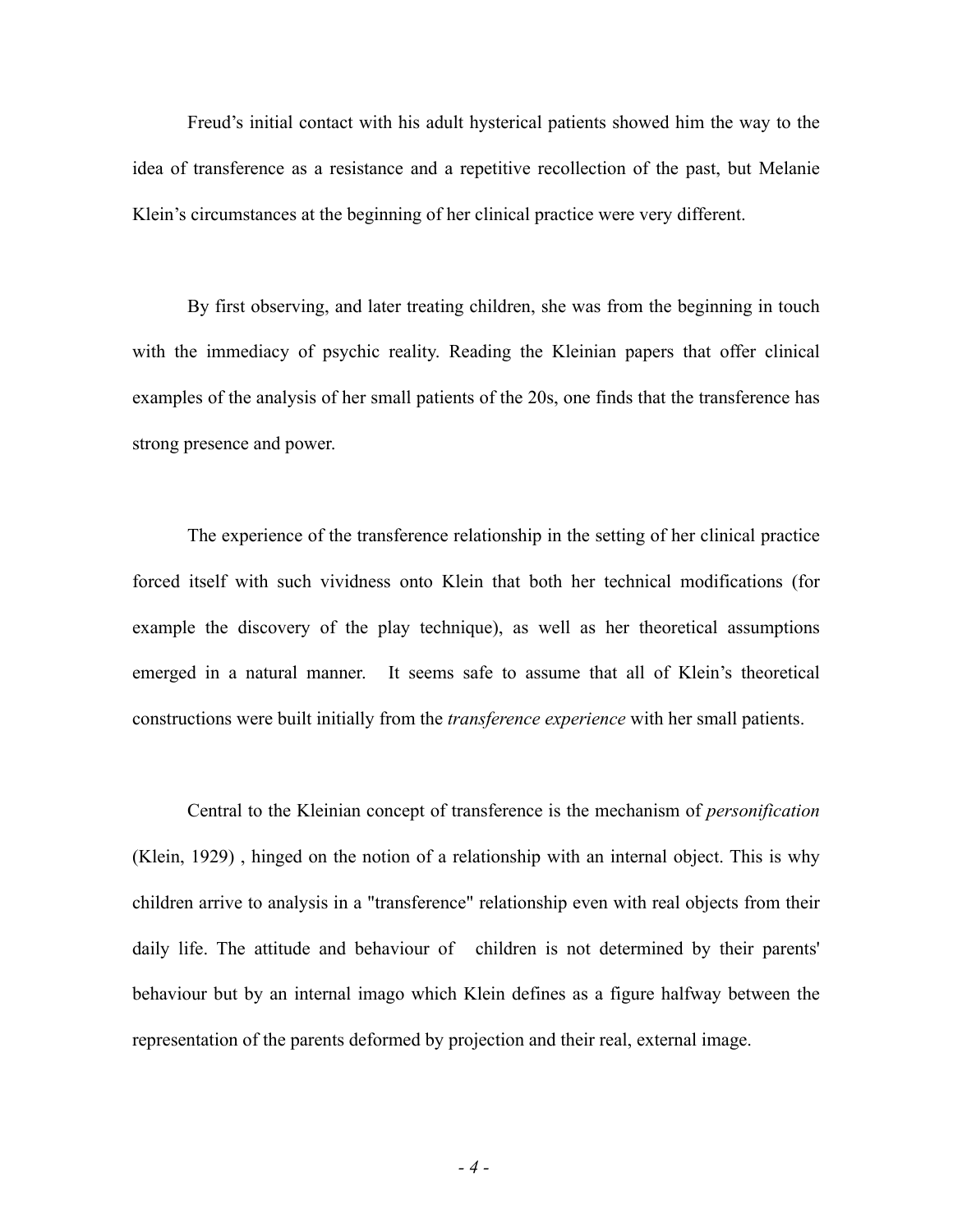Freud's initial contact with his adult hysterical patients showed him the way to the idea of transference as a resistance and a repetitive recollection of the past, but Melanie Klein's circumstances at the beginning of her clinical practice were very different.

By first observing, and later treating children, she was from the beginning in touch with the immediacy of psychic reality. Reading the Kleinian papers that offer clinical examples of the analysis of her small patients of the 20s, one finds that the transference has strong presence and power.

The experience of the transference relationship in the setting of her clinical practice forced itself with such vividness onto Klein that both her technical modifications (for example the discovery of the play technique), as well as her theoretical assumptions emerged in a natural manner. It seems safe to assume that all of Klein's theoretical constructions were built initially from the *transference experience* with her small patients.

Central to the Kleinian concept of transference is the mechanism of *personification* (Klein, 1929) , hinged on the notion of a relationship with an internal object. This is why children arrive to analysis in a "transference" relationship even with real objects from their daily life. The attitude and behaviour of children is not determined by their parents' behaviour but by an internal imago which Klein defines as a figure halfway between the representation of the parents deformed by projection and their real, external image.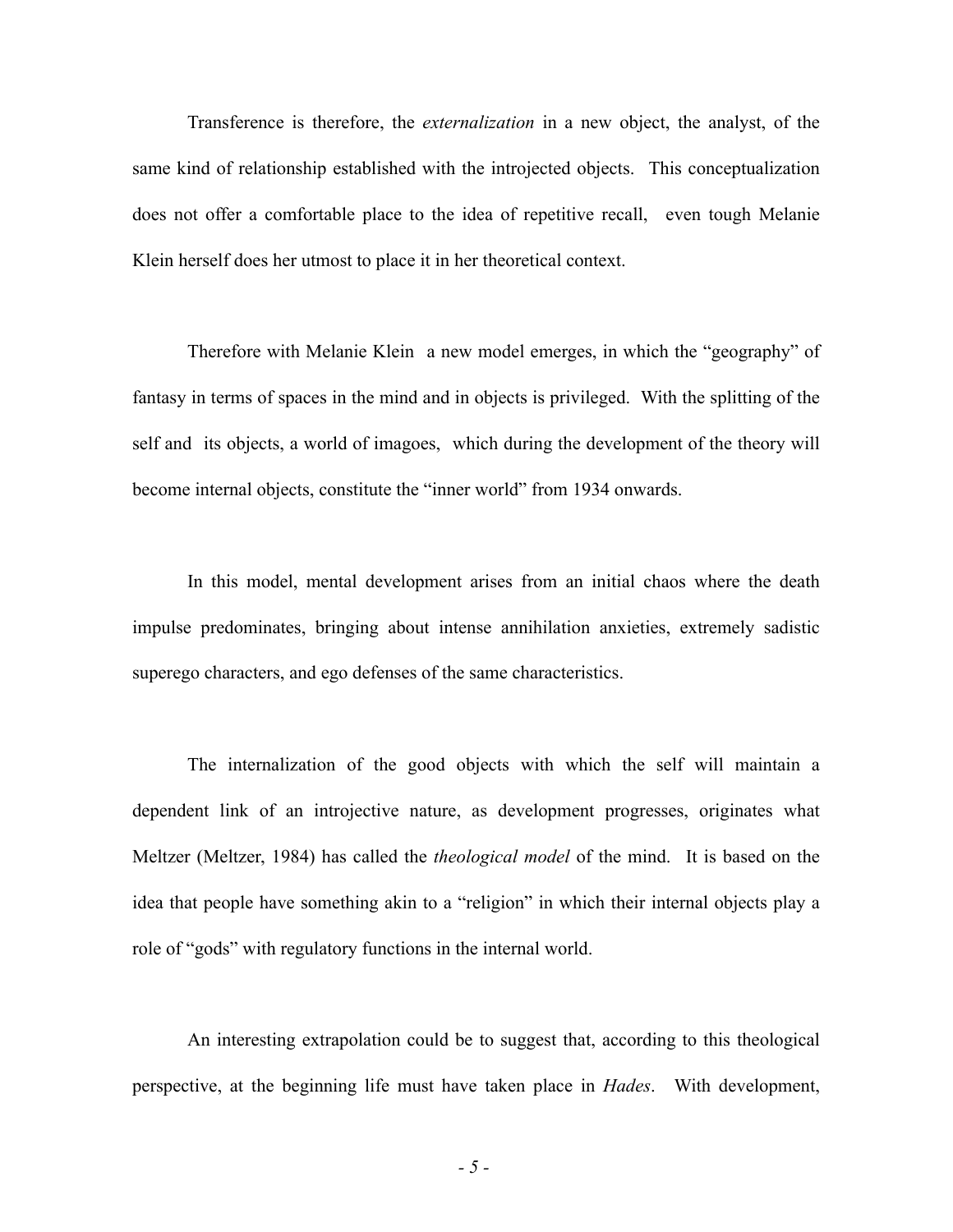Transference is therefore, the *externalization* in a new object, the analyst, of the same kind of relationship established with the introjected objects. This conceptualization does not offer a comfortable place to the idea of repetitive recall, even tough Melanie Klein herself does her utmost to place it in her theoretical context.

Therefore with Melanie Klein a new model emerges, in which the "geography" of fantasy in terms of spaces in the mind and in objects is privileged. With the splitting of the self and its objects, a world of imagoes, which during the development of the theory will become internal objects, constitute the "inner world" from 1934 onwards.

In this model, mental development arises from an initial chaos where the death impulse predominates, bringing about intense annihilation anxieties, extremely sadistic superego characters, and ego defenses of the same characteristics.

The internalization of the good objects with which the self will maintain a dependent link of an introjective nature, as development progresses, originates what Meltzer (Meltzer, 1984) has called the *theological model* of the mind. It is based on the idea that people have something akin to a "religion" in which their internal objects play a role of "gods" with regulatory functions in the internal world.

An interesting extrapolation could be to suggest that, according to this theological perspective, at the beginning life must have taken place in *Hades*. With development,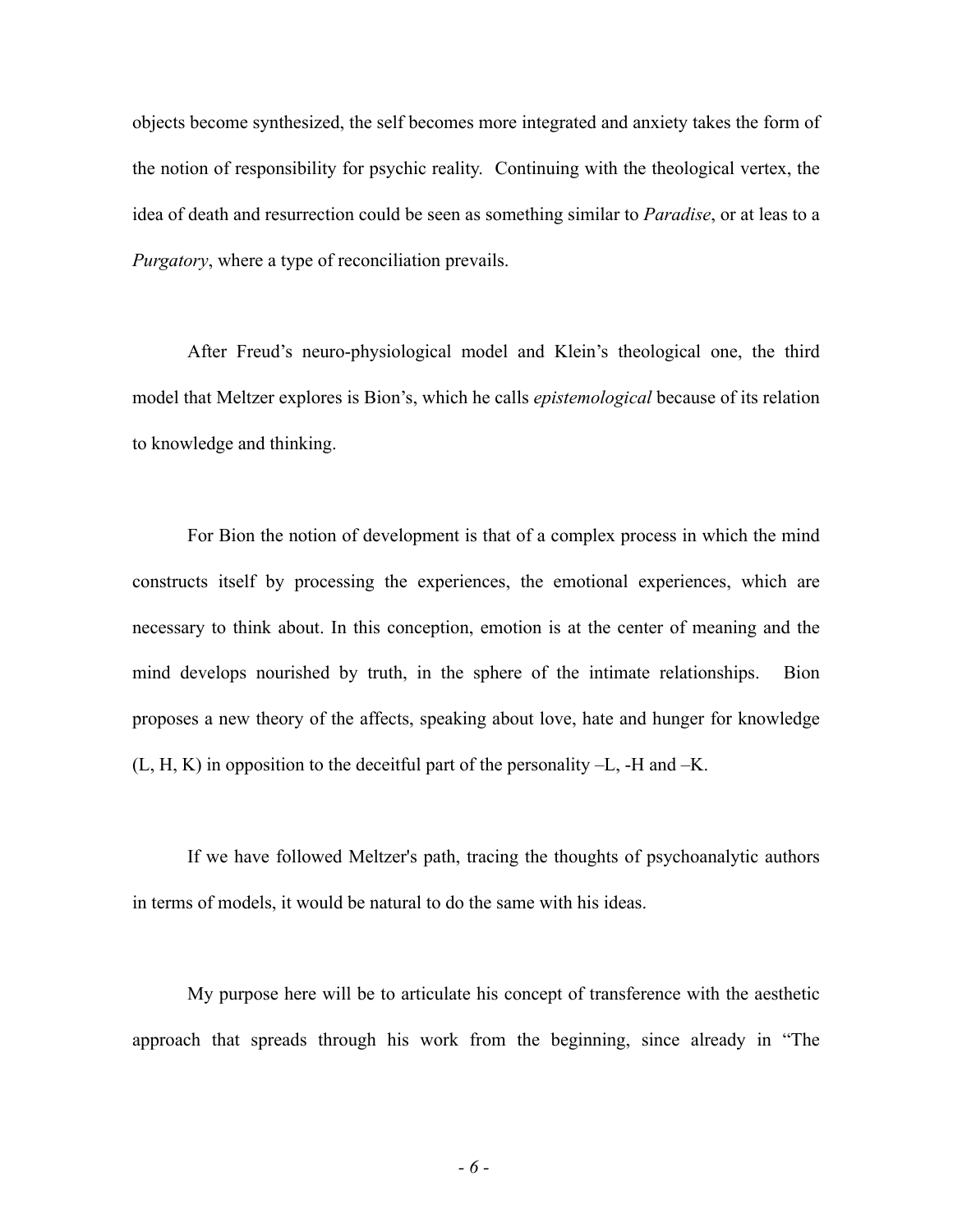objects become synthesized, the self becomes more integrated and anxiety takes the form of the notion of responsibility for psychic reality. Continuing with the theological vertex, the idea of death and resurrection could be seen as something similar to *Paradise*, or at leas to a *Purgatory*, where a type of reconciliation prevails.

After Freud's neuro-physiological model and Klein's theological one, the third model that Meltzer explores is Bion's, which he calls *epistemological* because of its relation to knowledge and thinking.

For Bion the notion of development is that of a complex process in which the mind constructs itself by processing the experiences, the emotional experiences, which are necessary to think about. In this conception, emotion is at the center of meaning and the mind develops nourished by truth, in the sphere of the intimate relationships. Bion proposes a new theory of the affects, speaking about love, hate and hunger for knowledge (L, H, K) in opposition to the deceitful part of the personality –L, -H and –K.

If we have followed Meltzer's path, tracing the thoughts of psychoanalytic authors in terms of models, it would be natural to do the same with his ideas.

My purpose here will be to articulate his concept of transference with the aesthetic approach that spreads through his work from the beginning, since already in "The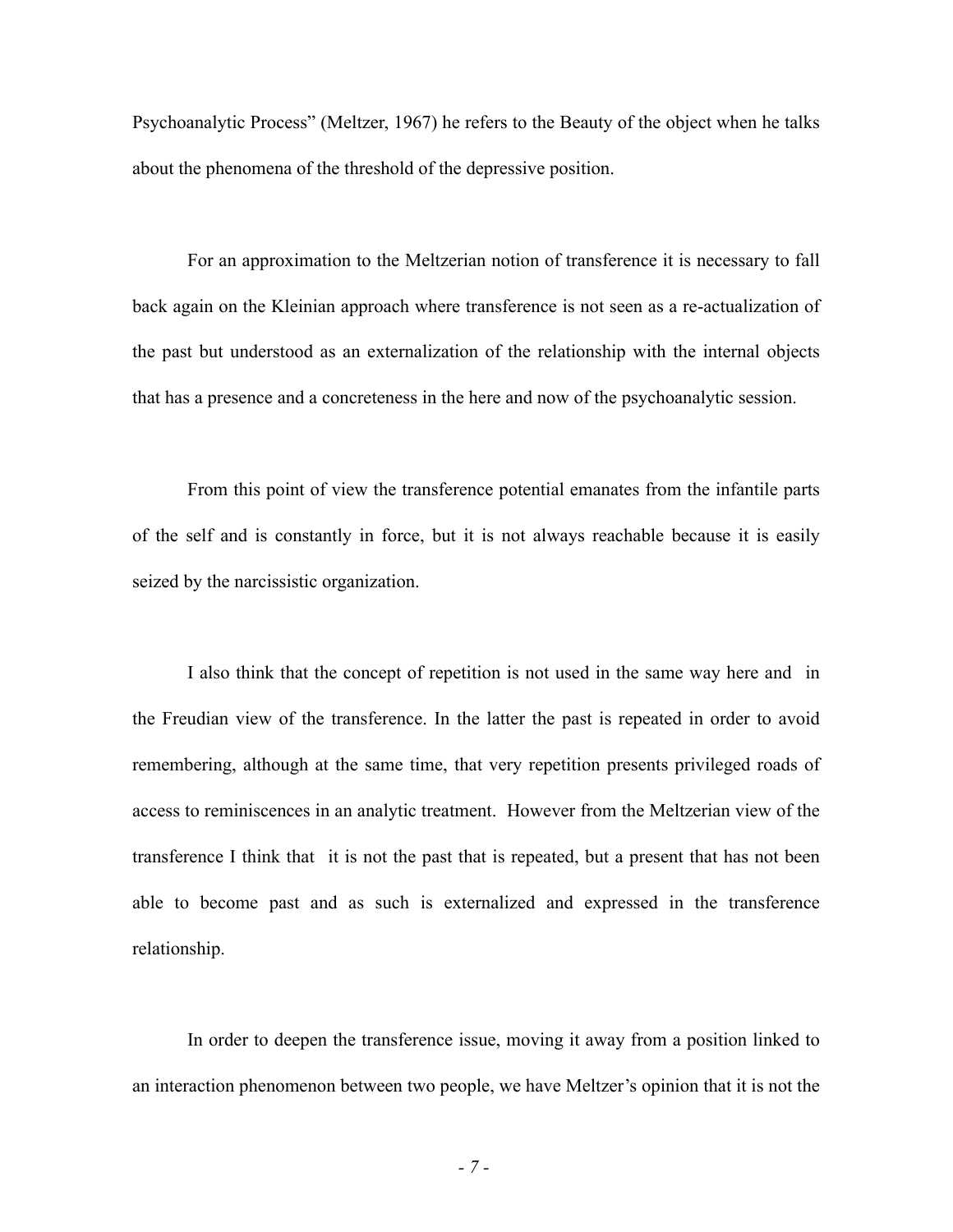Psychoanalytic Process" (Meltzer, 1967) he refers to the Beauty of the object when he talks about the phenomena of the threshold of the depressive position.

For an approximation to the Meltzerian notion of transference it is necessary to fall back again on the Kleinian approach where transference is not seen as a re-actualization of the past but understood as an externalization of the relationship with the internal objects that has a presence and a concreteness in the here and now of the psychoanalytic session.

From this point of view the transference potential emanates from the infantile parts of the self and is constantly in force, but it is not always reachable because it is easily seized by the narcissistic organization.

I also think that the concept of repetition is not used in the same way here and in the Freudian view of the transference. In the latter the past is repeated in order to avoid remembering, although at the same time, that very repetition presents privileged roads of access to reminiscences in an analytic treatment. However from the Meltzerian view of the transference I think that it is not the past that is repeated, but a present that has not been able to become past and as such is externalized and expressed in the transference relationship.

In order to deepen the transference issue, moving it away from a position linked to an interaction phenomenon between two people, we have Meltzer's opinion that it is not the

*- 7 -*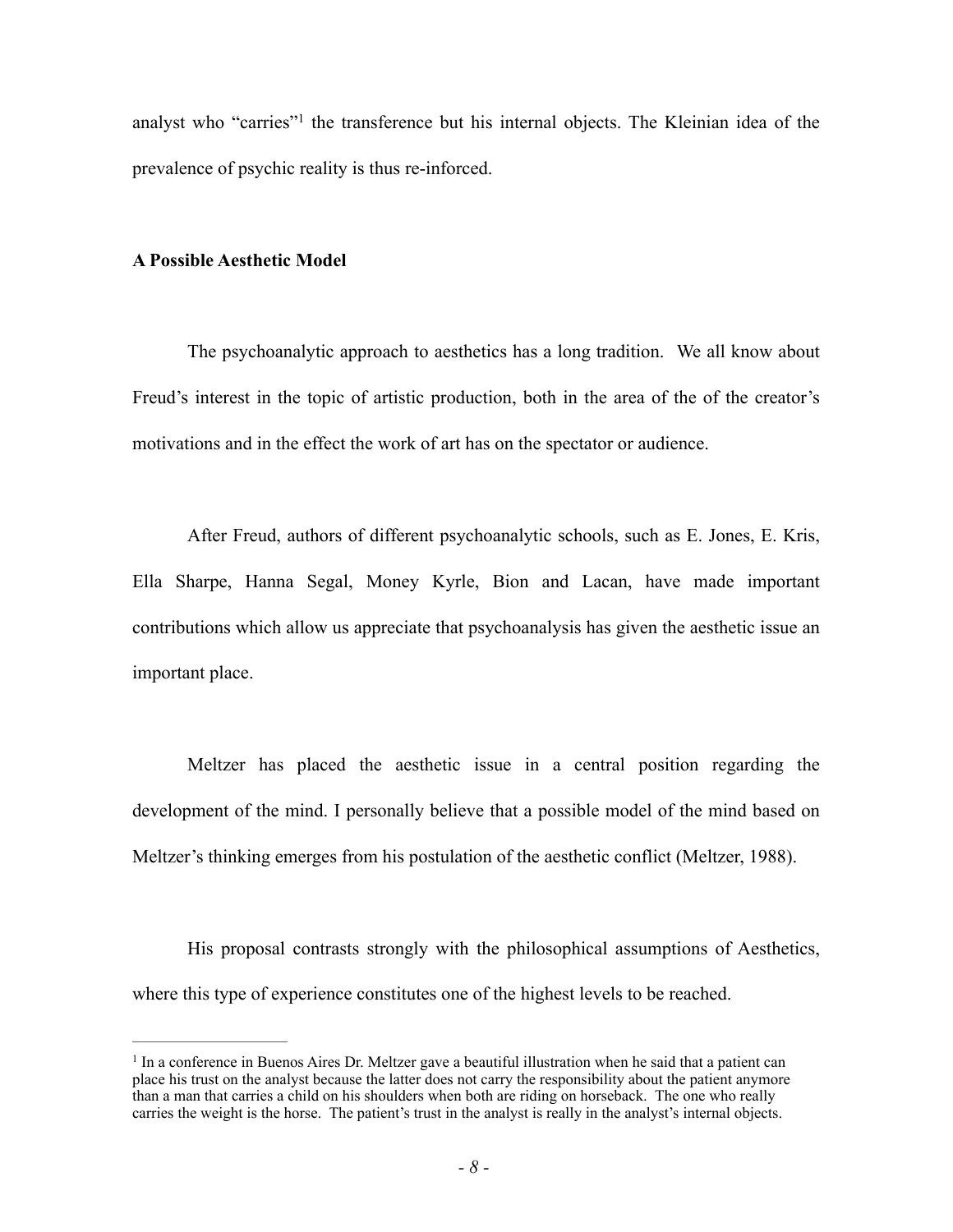analyst who "carries"<sup>1</sup> the transference but his internal objects. The Kleinian idea of the prevalence of psychic reality is thus re-inforced.

#### **A Possible Aesthetic Model**

The psychoanalytic approach to aesthetics has a long tradition. We all know about Freud's interest in the topic of artistic production, both in the area of the of the creator's motivations and in the effect the work of art has on the spectator or audience.

After Freud, authors of different psychoanalytic schools, such as E. Jones, E. Kris, Ella Sharpe, Hanna Segal, Money Kyrle, Bion and Lacan, have made important contributions which allow us appreciate that psychoanalysis has given the aesthetic issue an important place.

Meltzer has placed the aesthetic issue in a central position regarding the development of the mind. I personally believe that a possible model of the mind based on Meltzer's thinking emerges from his postulation of the aesthetic conflict (Meltzer, 1988).

His proposal contrasts strongly with the philosophical assumptions of Aesthetics, where this type of experience constitutes one of the highest levels to be reached.

 $<sup>1</sup>$  In a conference in Buenos Aires Dr. Meltzer gave a beautiful illustration when he said that a patient can</sup> place his trust on the analyst because the latter does not carry the responsibility about the patient anymore than a man that carries a child on his shoulders when both are riding on horseback. The one who really carries the weight is the horse. The patient's trust in the analyst is really in the analyst's internal objects.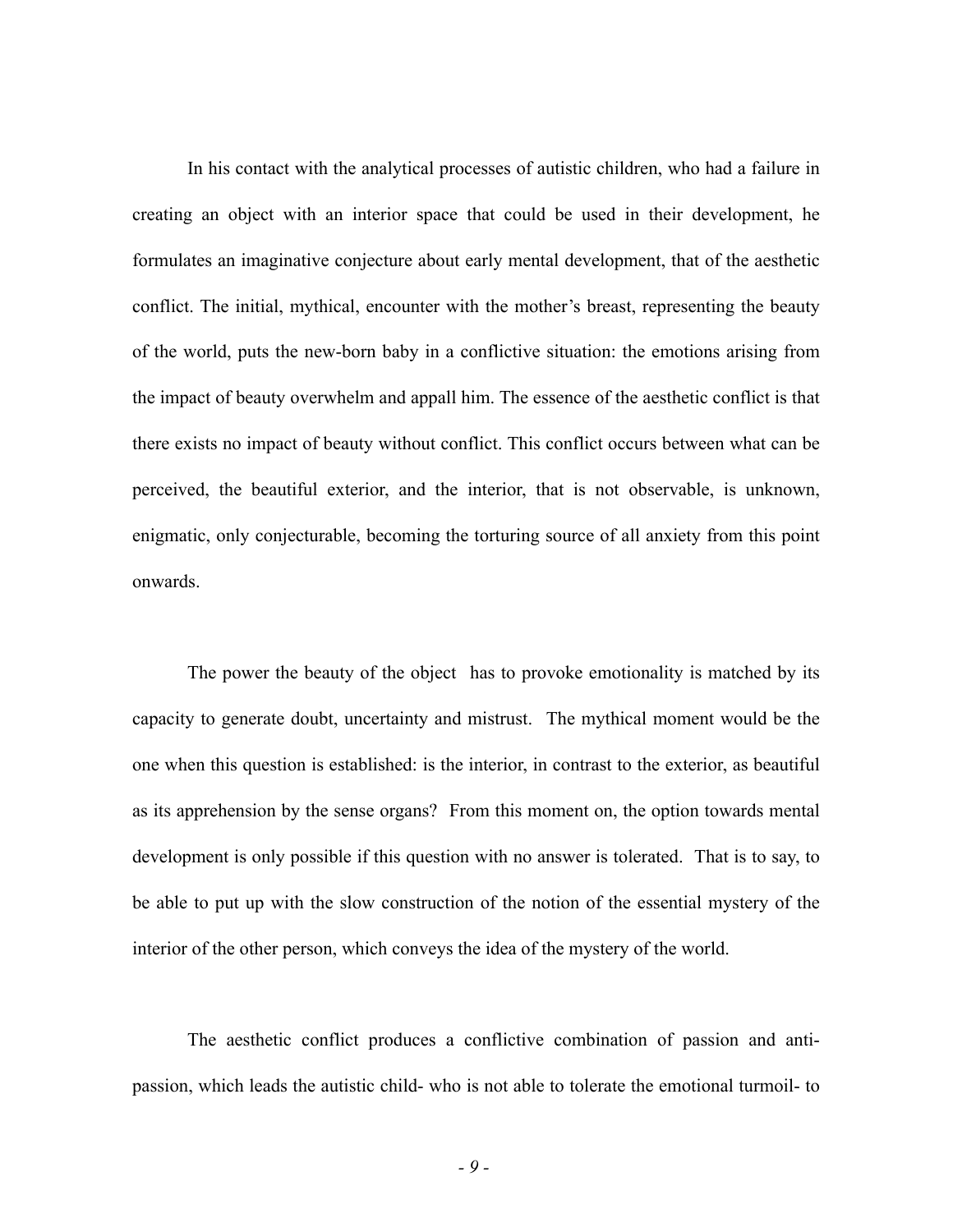In his contact with the analytical processes of autistic children, who had a failure in creating an object with an interior space that could be used in their development, he formulates an imaginative conjecture about early mental development, that of the aesthetic conflict. The initial, mythical, encounter with the mother's breast, representing the beauty of the world, puts the new-born baby in a conflictive situation: the emotions arising from the impact of beauty overwhelm and appall him. The essence of the aesthetic conflict is that there exists no impact of beauty without conflict. This conflict occurs between what can be perceived, the beautiful exterior, and the interior, that is not observable, is unknown, enigmatic, only conjecturable, becoming the torturing source of all anxiety from this point onwards.

The power the beauty of the object has to provoke emotionality is matched by its capacity to generate doubt, uncertainty and mistrust. The mythical moment would be the one when this question is established: is the interior, in contrast to the exterior, as beautiful as its apprehension by the sense organs? From this moment on, the option towards mental development is only possible if this question with no answer is tolerated. That is to say, to be able to put up with the slow construction of the notion of the essential mystery of the interior of the other person, which conveys the idea of the mystery of the world.

The aesthetic conflict produces a conflictive combination of passion and antipassion, which leads the autistic child- who is not able to tolerate the emotional turmoil- to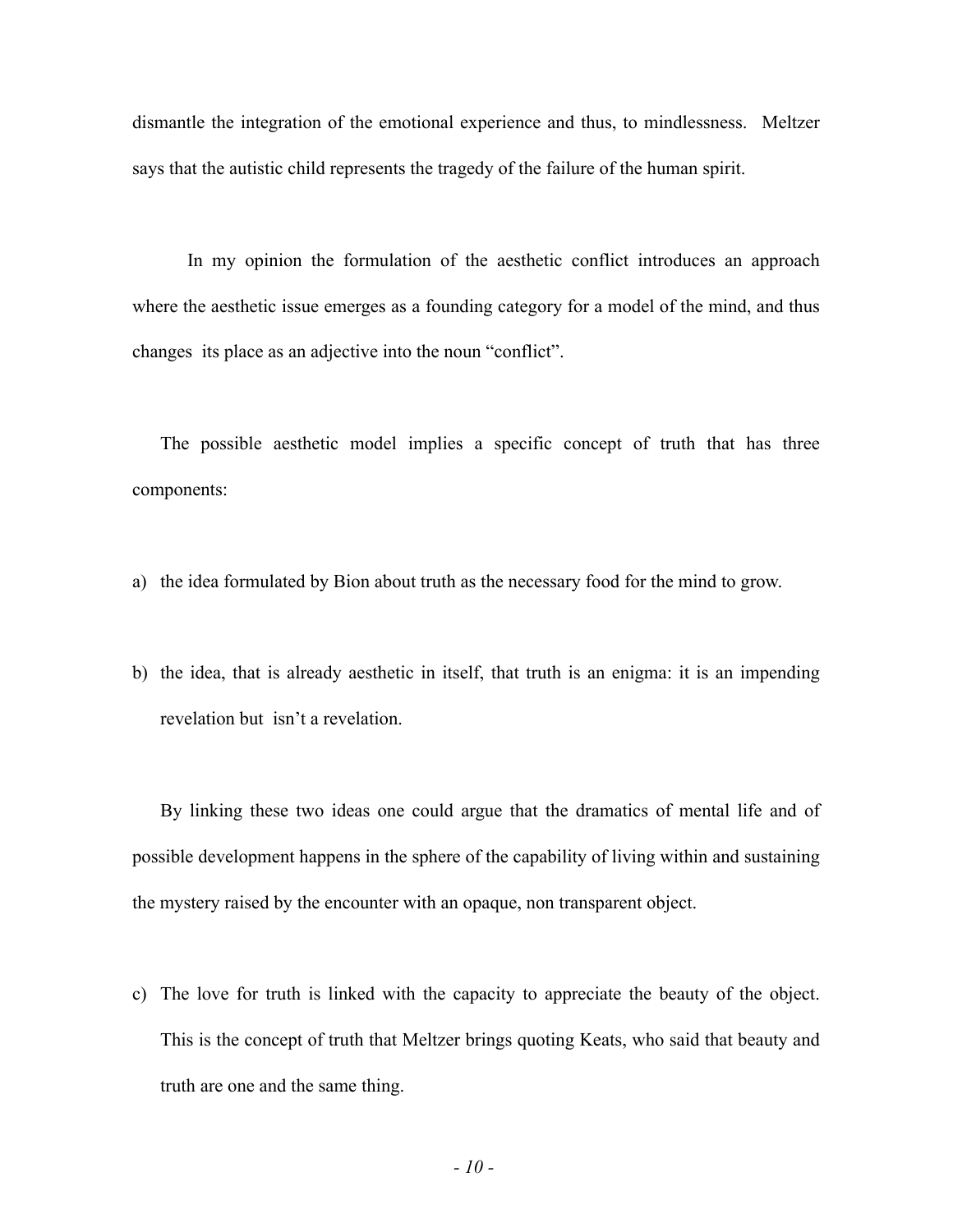dismantle the integration of the emotional experience and thus, to mindlessness. Meltzer says that the autistic child represents the tragedy of the failure of the human spirit.

In my opinion the formulation of the aesthetic conflict introduces an approach where the aesthetic issue emerges as a founding category for a model of the mind, and thus changes its place as an adjective into the noun "conflict".

The possible aesthetic model implies a specific concept of truth that has three components:

a) the idea formulated by Bion about truth as the necessary food for the mind to grow.

b) the idea, that is already aesthetic in itself, that truth is an enigma: it is an impending revelation but isn't a revelation.

By linking these two ideas one could argue that the dramatics of mental life and of possible development happens in the sphere of the capability of living within and sustaining the mystery raised by the encounter with an opaque, non transparent object.

c) The love for truth is linked with the capacity to appreciate the beauty of the object. This is the concept of truth that Meltzer brings quoting Keats, who said that beauty and truth are one and the same thing.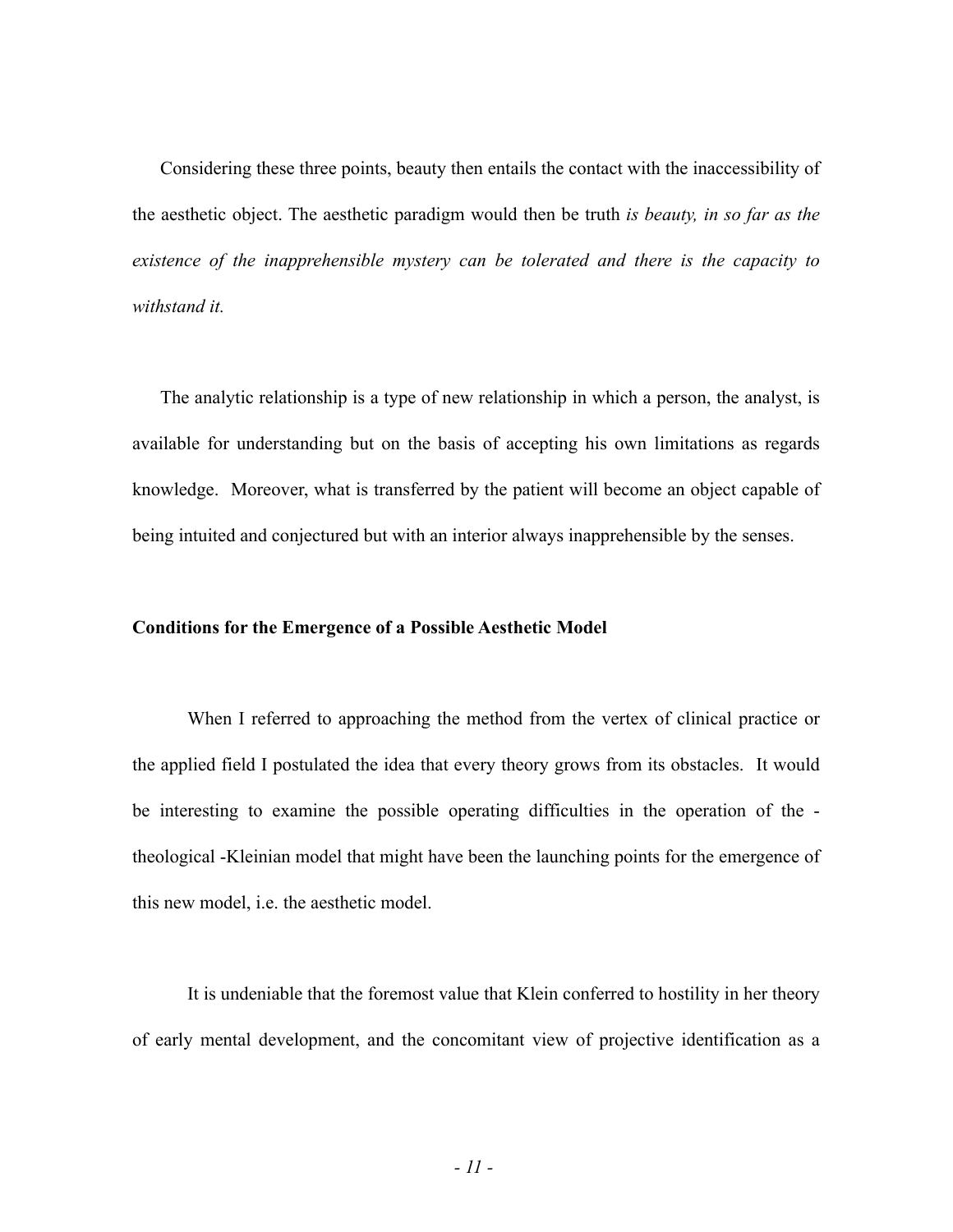Considering these three points, beauty then entails the contact with the inaccessibility of the aesthetic object. The aesthetic paradigm would then be truth *is beauty, in so far as the existence of the inapprehensible mystery can be tolerated and there is the capacity to withstand it.*

The analytic relationship is a type of new relationship in which a person, the analyst, is available for understanding but on the basis of accepting his own limitations as regards knowledge. Moreover, what is transferred by the patient will become an object capable of being intuited and conjectured but with an interior always inapprehensible by the senses.

### **Conditions for the Emergence of a Possible Aesthetic Model**

When I referred to approaching the method from the vertex of clinical practice or the applied field I postulated the idea that every theory grows from its obstacles. It would be interesting to examine the possible operating difficulties in the operation of the theological -Kleinian model that might have been the launching points for the emergence of this new model, i.e. the aesthetic model.

It is undeniable that the foremost value that Klein conferred to hostility in her theory of early mental development, and the concomitant view of projective identification as a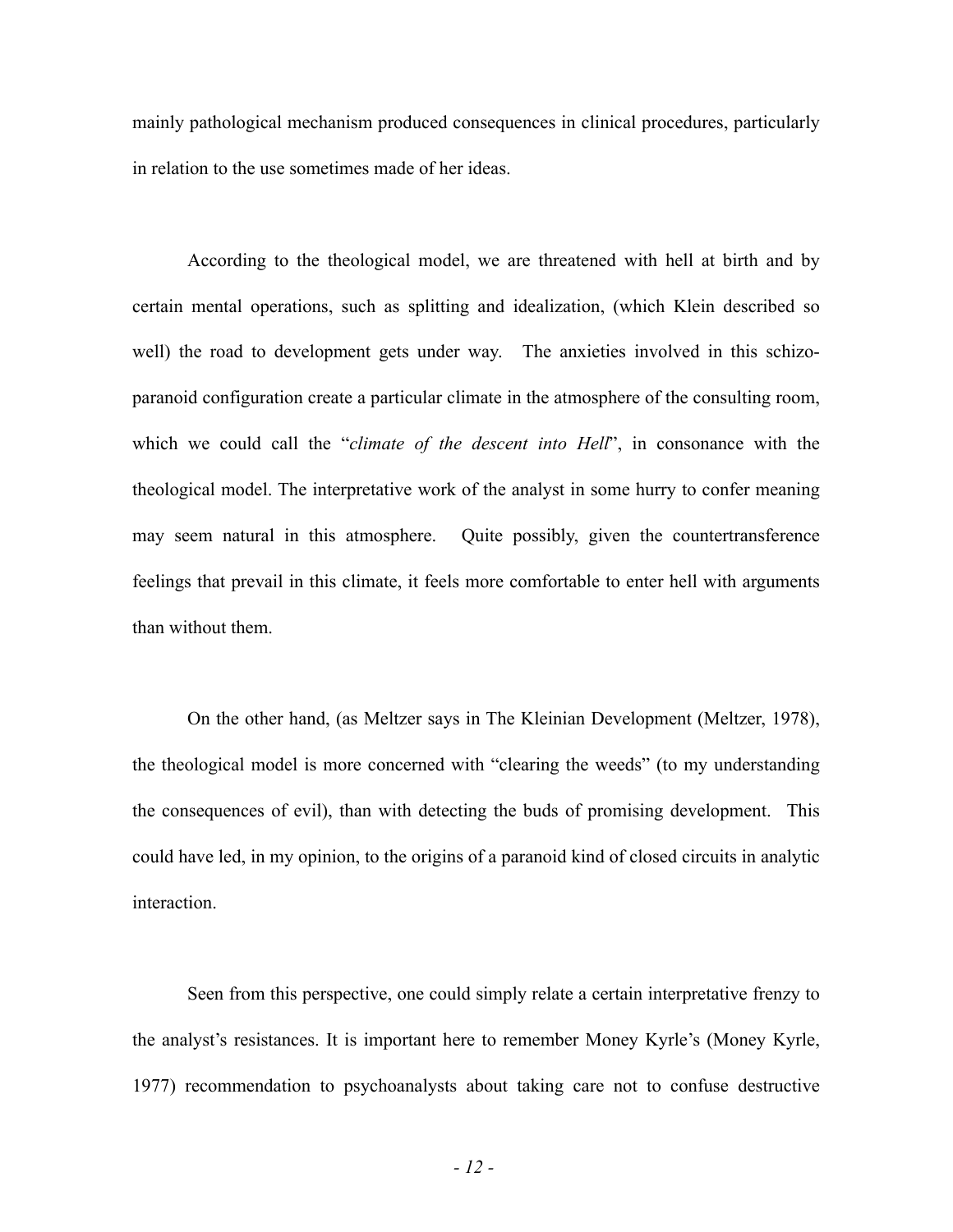mainly pathological mechanism produced consequences in clinical procedures, particularly in relation to the use sometimes made of her ideas.

According to the theological model, we are threatened with hell at birth and by certain mental operations, such as splitting and idealization, (which Klein described so well) the road to development gets under way. The anxieties involved in this schizoparanoid configuration create a particular climate in the atmosphere of the consulting room, which we could call the "*climate of the descent into Hell*", in consonance with the theological model. The interpretative work of the analyst in some hurry to confer meaning may seem natural in this atmosphere. Quite possibly, given the countertransference feelings that prevail in this climate, it feels more comfortable to enter hell with arguments than without them.

On the other hand, (as Meltzer says in The Kleinian Development (Meltzer, 1978), the theological model is more concerned with "clearing the weeds" (to my understanding the consequences of evil), than with detecting the buds of promising development. This could have led, in my opinion, to the origins of a paranoid kind of closed circuits in analytic interaction.

Seen from this perspective, one could simply relate a certain interpretative frenzy to the analyst's resistances. It is important here to remember Money Kyrle's (Money Kyrle, 1977) recommendation to psychoanalysts about taking care not to confuse destructive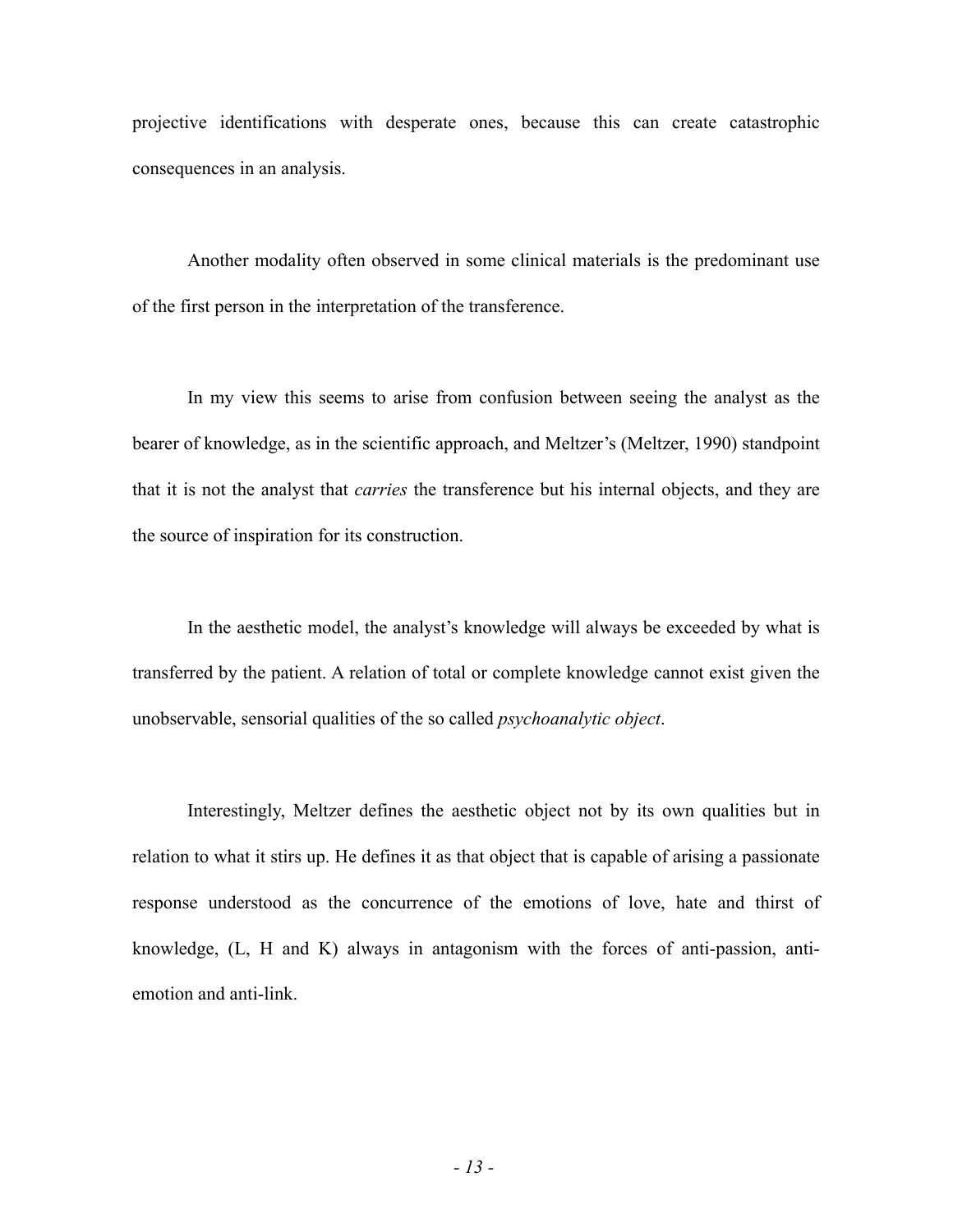projective identifications with desperate ones, because this can create catastrophic consequences in an analysis.

Another modality often observed in some clinical materials is the predominant use of the first person in the interpretation of the transference.

In my view this seems to arise from confusion between seeing the analyst as the bearer of knowledge, as in the scientific approach, and Meltzer's (Meltzer, 1990) standpoint that it is not the analyst that *carries* the transference but his internal objects, and they are the source of inspiration for its construction.

In the aesthetic model, the analyst's knowledge will always be exceeded by what is transferred by the patient. A relation of total or complete knowledge cannot exist given the unobservable, sensorial qualities of the so called *psychoanalytic object*.

Interestingly, Meltzer defines the aesthetic object not by its own qualities but in relation to what it stirs up. He defines it as that object that is capable of arising a passionate response understood as the concurrence of the emotions of love, hate and thirst of knowledge, (L, H and K) always in antagonism with the forces of anti-passion, antiemotion and anti-link.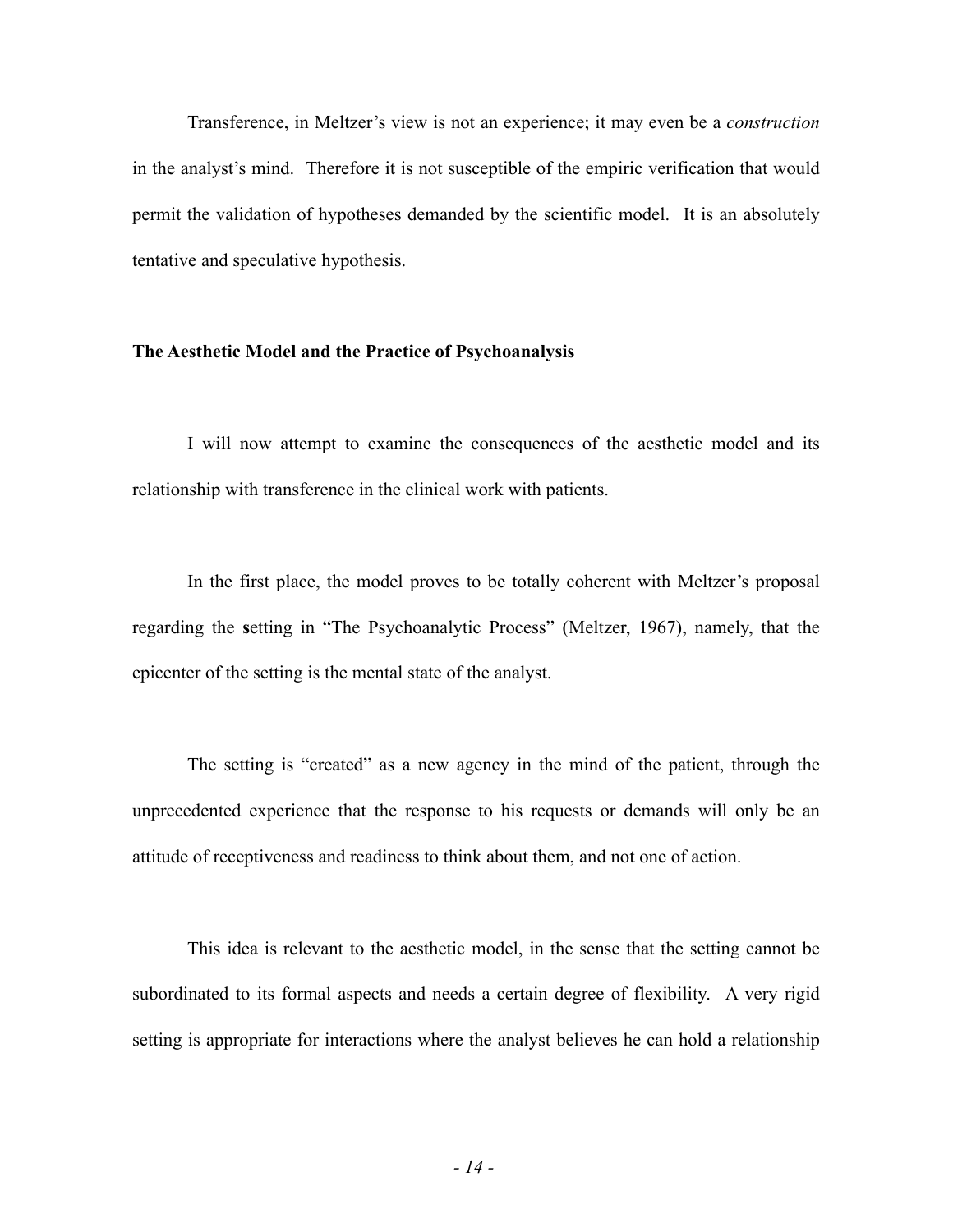Transference, in Meltzer's view is not an experience; it may even be a *construction* in the analyst's mind. Therefore it is not susceptible of the empiric verification that would permit the validation of hypotheses demanded by the scientific model. It is an absolutely tentative and speculative hypothesis.

## **The Aesthetic Model and the Practice of Psychoanalysis**

I will now attempt to examine the consequences of the aesthetic model and its relationship with transference in the clinical work with patients.

In the first place, the model proves to be totally coherent with Meltzer's proposal regarding the **s**etting in "The Psychoanalytic Process" (Meltzer, 1967), namely, that the epicenter of the setting is the mental state of the analyst.

The setting is "created" as a new agency in the mind of the patient, through the unprecedented experience that the response to his requests or demands will only be an attitude of receptiveness and readiness to think about them, and not one of action.

This idea is relevant to the aesthetic model, in the sense that the setting cannot be subordinated to its formal aspects and needs a certain degree of flexibility. A very rigid setting is appropriate for interactions where the analyst believes he can hold a relationship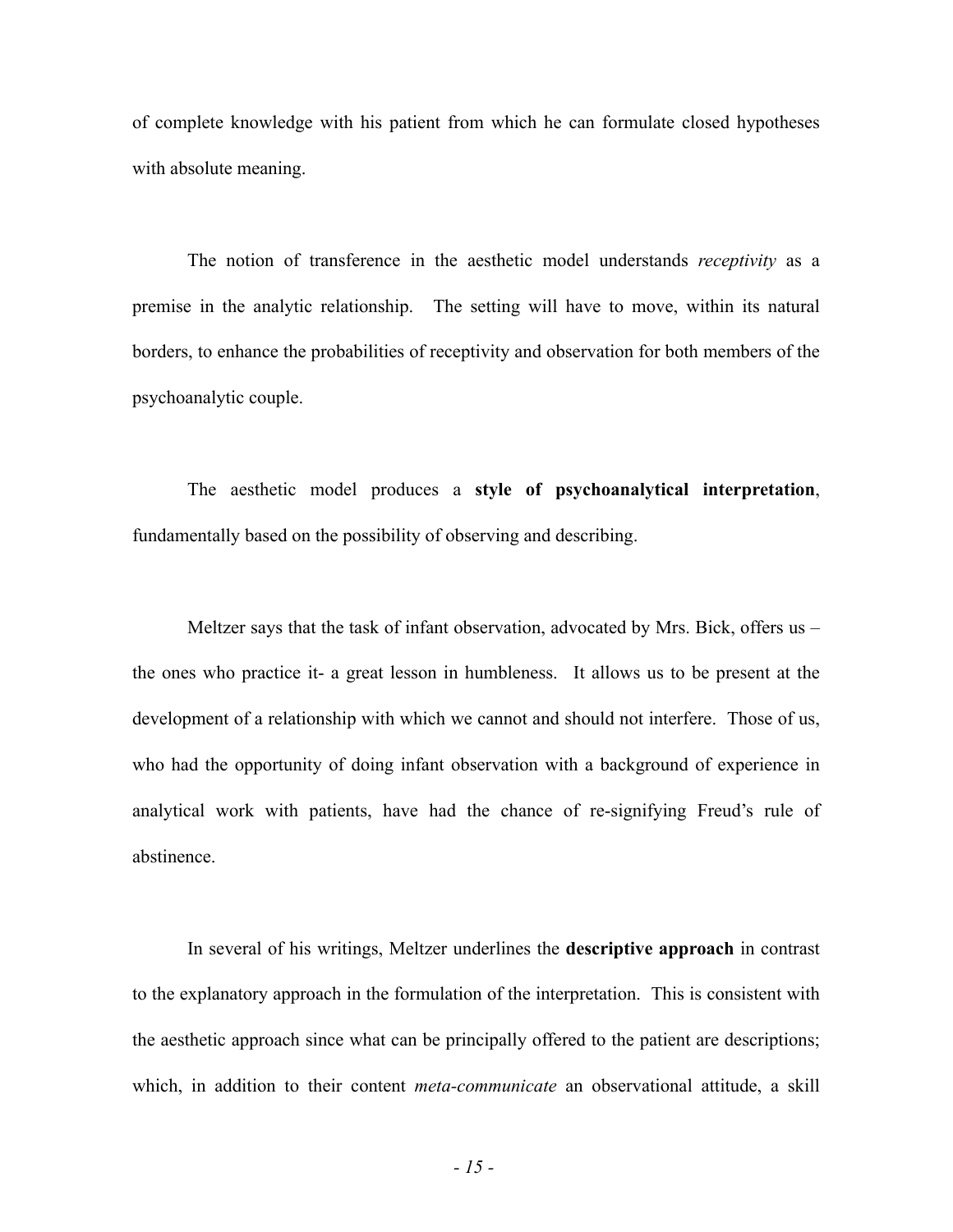of complete knowledge with his patient from which he can formulate closed hypotheses with absolute meaning.

The notion of transference in the aesthetic model understands *receptivity* as a premise in the analytic relationship. The setting will have to move, within its natural borders, to enhance the probabilities of receptivity and observation for both members of the psychoanalytic couple.

The aesthetic model produces a **style of psychoanalytical interpretation**, fundamentally based on the possibility of observing and describing.

Meltzer says that the task of infant observation, advocated by Mrs. Bick, offers us – the ones who practice it- a great lesson in humbleness. It allows us to be present at the development of a relationship with which we cannot and should not interfere. Those of us, who had the opportunity of doing infant observation with a background of experience in analytical work with patients, have had the chance of re-signifying Freud's rule of abstinence.

In several of his writings, Meltzer underlines the **descriptive approach** in contrast to the explanatory approach in the formulation of the interpretation. This is consistent with the aesthetic approach since what can be principally offered to the patient are descriptions; which, in addition to their content *meta-communicate* an observational attitude, a skill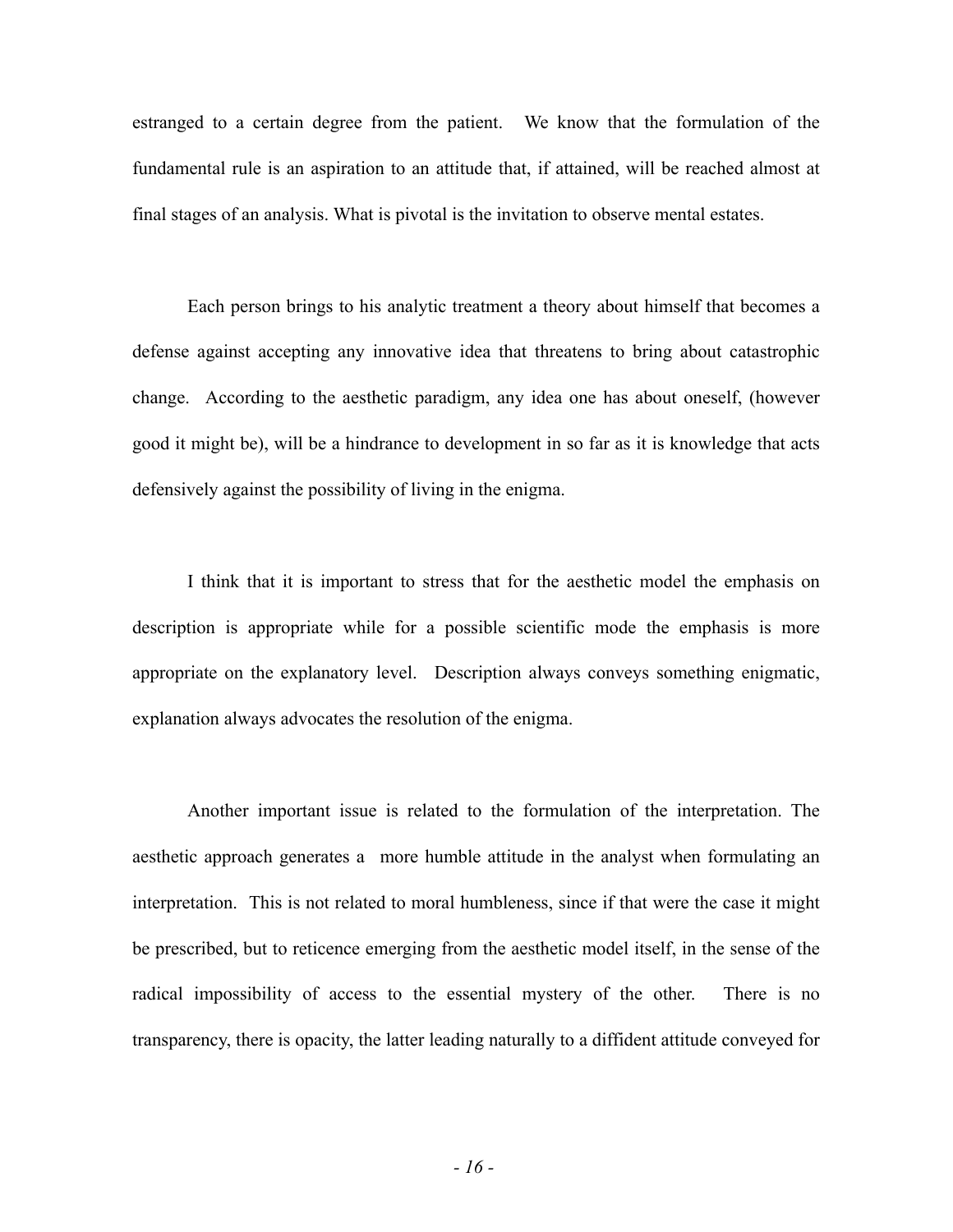estranged to a certain degree from the patient. We know that the formulation of the fundamental rule is an aspiration to an attitude that, if attained, will be reached almost at final stages of an analysis. What is pivotal is the invitation to observe mental estates.

Each person brings to his analytic treatment a theory about himself that becomes a defense against accepting any innovative idea that threatens to bring about catastrophic change. According to the aesthetic paradigm, any idea one has about oneself, (however good it might be), will be a hindrance to development in so far as it is knowledge that acts defensively against the possibility of living in the enigma.

I think that it is important to stress that for the aesthetic model the emphasis on description is appropriate while for a possible scientific mode the emphasis is more appropriate on the explanatory level. Description always conveys something enigmatic, explanation always advocates the resolution of the enigma.

Another important issue is related to the formulation of the interpretation. The aesthetic approach generates a more humble attitude in the analyst when formulating an interpretation. This is not related to moral humbleness, since if that were the case it might be prescribed, but to reticence emerging from the aesthetic model itself, in the sense of the radical impossibility of access to the essential mystery of the other. There is no transparency, there is opacity, the latter leading naturally to a diffident attitude conveyed for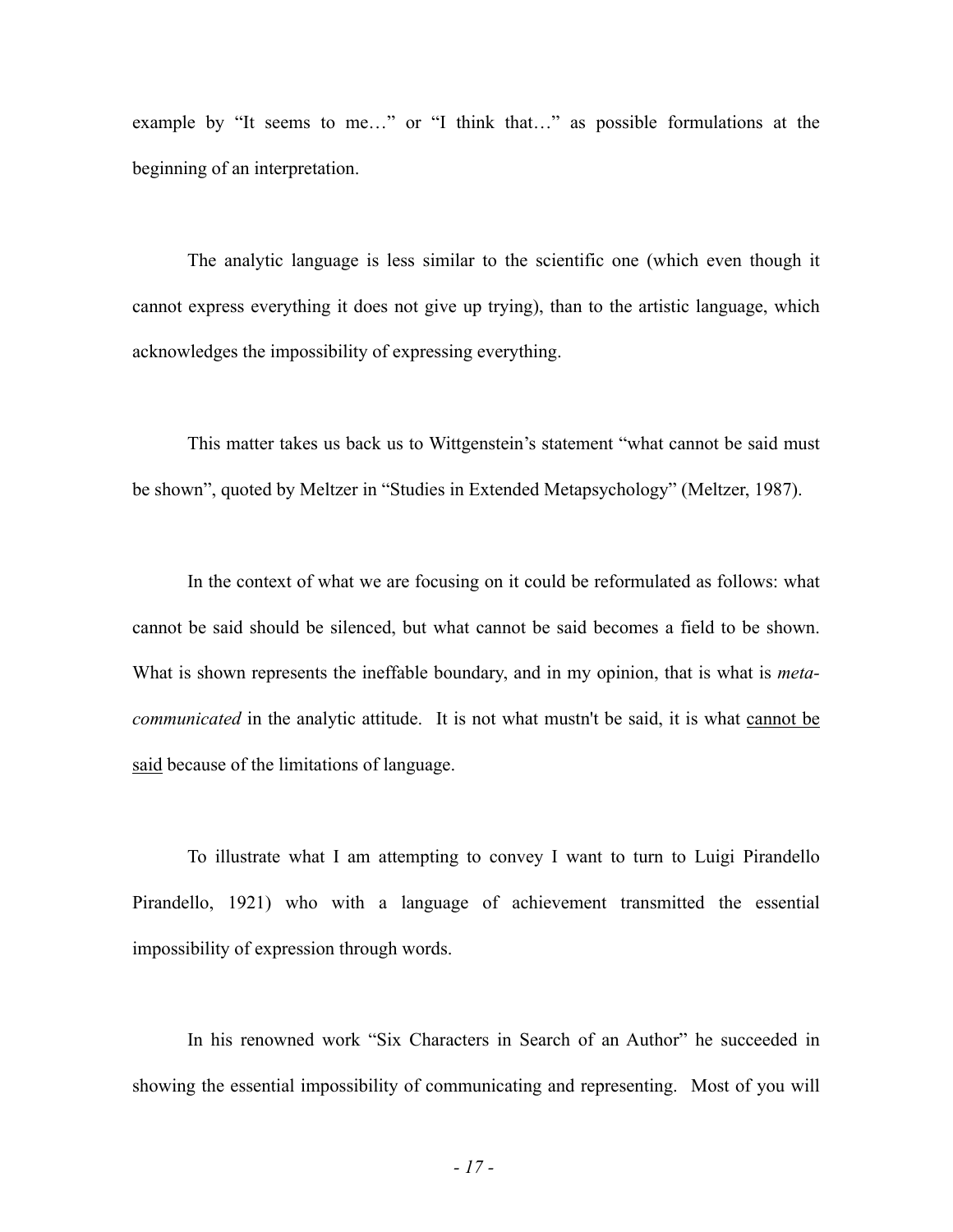example by "It seems to me…" or "I think that…" as possible formulations at the beginning of an interpretation.

The analytic language is less similar to the scientific one (which even though it cannot express everything it does not give up trying), than to the artistic language, which acknowledges the impossibility of expressing everything.

This matter takes us back us to Wittgenstein's statement "what cannot be said must be shown", quoted by Meltzer in "Studies in Extended Metapsychology" (Meltzer, 1987).

In the context of what we are focusing on it could be reformulated as follows: what cannot be said should be silenced, but what cannot be said becomes a field to be shown. What is shown represents the ineffable boundary, and in my opinion, that is what is *metacommunicated* in the analytic attitude. It is not what mustn't be said, it is what cannot be said because of the limitations of language.

To illustrate what I am attempting to convey I want to turn to Luigi Pirandello Pirandello, 1921) who with a language of achievement transmitted the essential impossibility of expression through words.

In his renowned work "Six Characters in Search of an Author" he succeeded in showing the essential impossibility of communicating and representing. Most of you will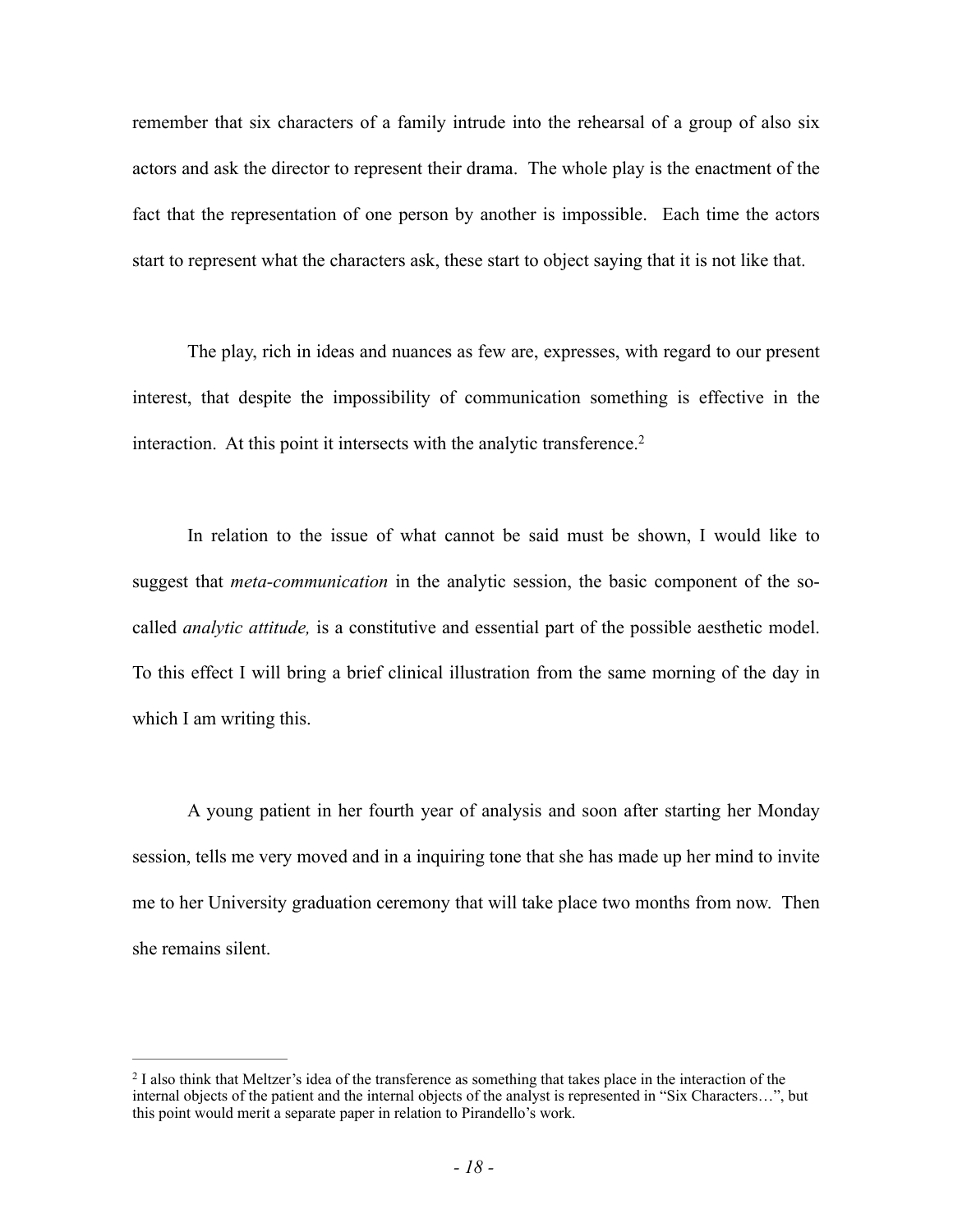remember that six characters of a family intrude into the rehearsal of a group of also six actors and ask the director to represent their drama. The whole play is the enactment of the fact that the representation of one person by another is impossible. Each time the actors start to represent what the characters ask, these start to object saying that it is not like that.

The play, rich in ideas and nuances as few are, expresses, with regard to our present interest, that despite the impossibility of communication something is effective in the interaction. At this point it intersects with the analytic transference.<sup>2</sup>

In relation to the issue of what cannot be said must be shown, I would like to suggest that *meta-communication* in the analytic session, the basic component of the socalled *analytic attitude,* is a constitutive and essential part of the possible aesthetic model. To this effect I will bring a brief clinical illustration from the same morning of the day in which I am writing this.

A young patient in her fourth year of analysis and soon after starting her Monday session, tells me very moved and in a inquiring tone that she has made up her mind to invite me to her University graduation ceremony that will take place two months from now. Then she remains silent.

<sup>&</sup>lt;sup>2</sup> I also think that Meltzer's idea of the transference as something that takes place in the interaction of the internal objects of the patient and the internal objects of the analyst is represented in "Six Characters…", but this point would merit a separate paper in relation to Pirandello's work.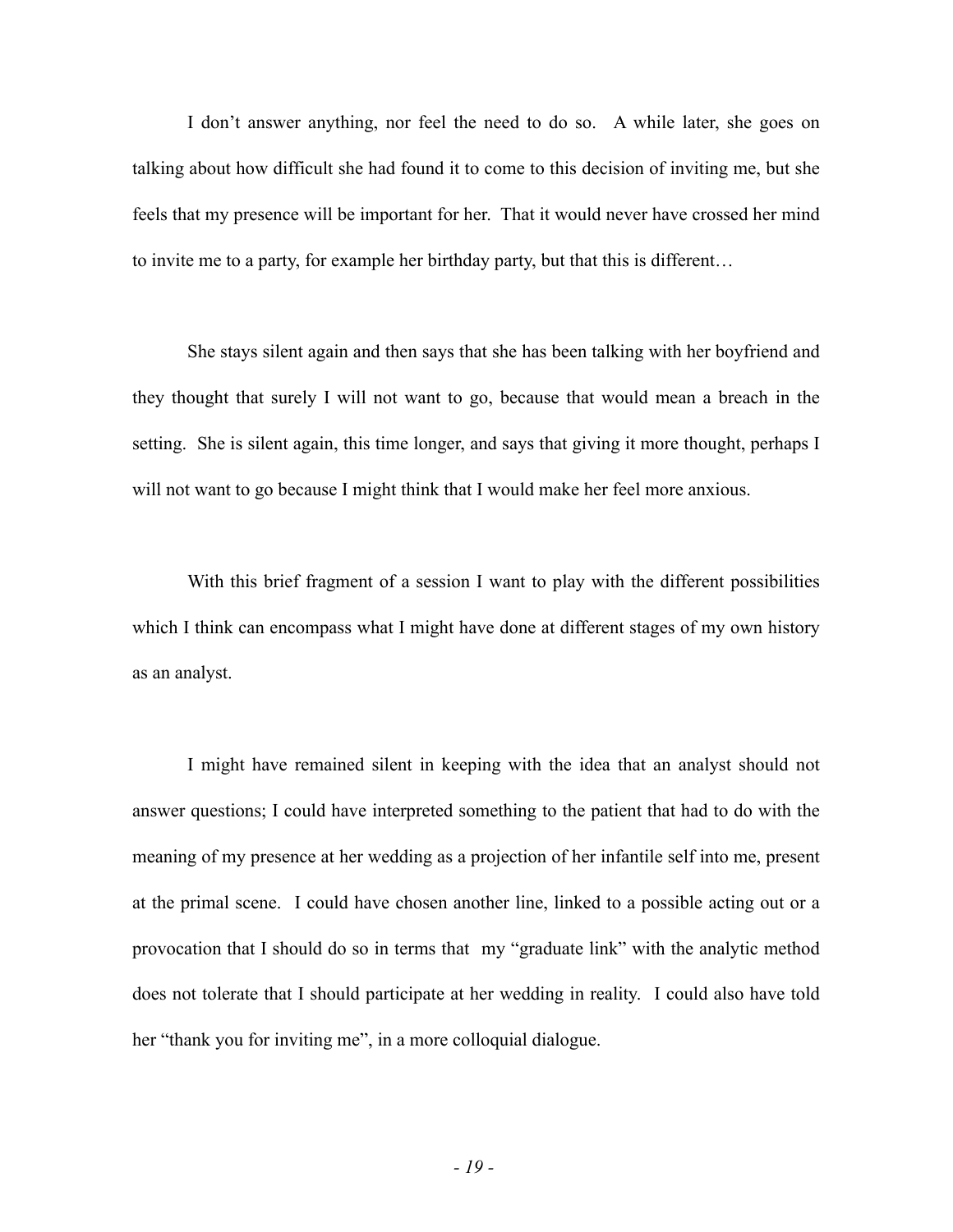I don't answer anything, nor feel the need to do so. A while later, she goes on talking about how difficult she had found it to come to this decision of inviting me, but she feels that my presence will be important for her. That it would never have crossed her mind to invite me to a party, for example her birthday party, but that this is different…

She stays silent again and then says that she has been talking with her boyfriend and they thought that surely I will not want to go, because that would mean a breach in the setting. She is silent again, this time longer, and says that giving it more thought, perhaps I will not want to go because I might think that I would make her feel more anxious.

With this brief fragment of a session I want to play with the different possibilities which I think can encompass what I might have done at different stages of my own history as an analyst.

I might have remained silent in keeping with the idea that an analyst should not answer questions; I could have interpreted something to the patient that had to do with the meaning of my presence at her wedding as a projection of her infantile self into me, present at the primal scene. I could have chosen another line, linked to a possible acting out or a provocation that I should do so in terms that my "graduate link" with the analytic method does not tolerate that I should participate at her wedding in reality. I could also have told her "thank you for inviting me", in a more colloquial dialogue.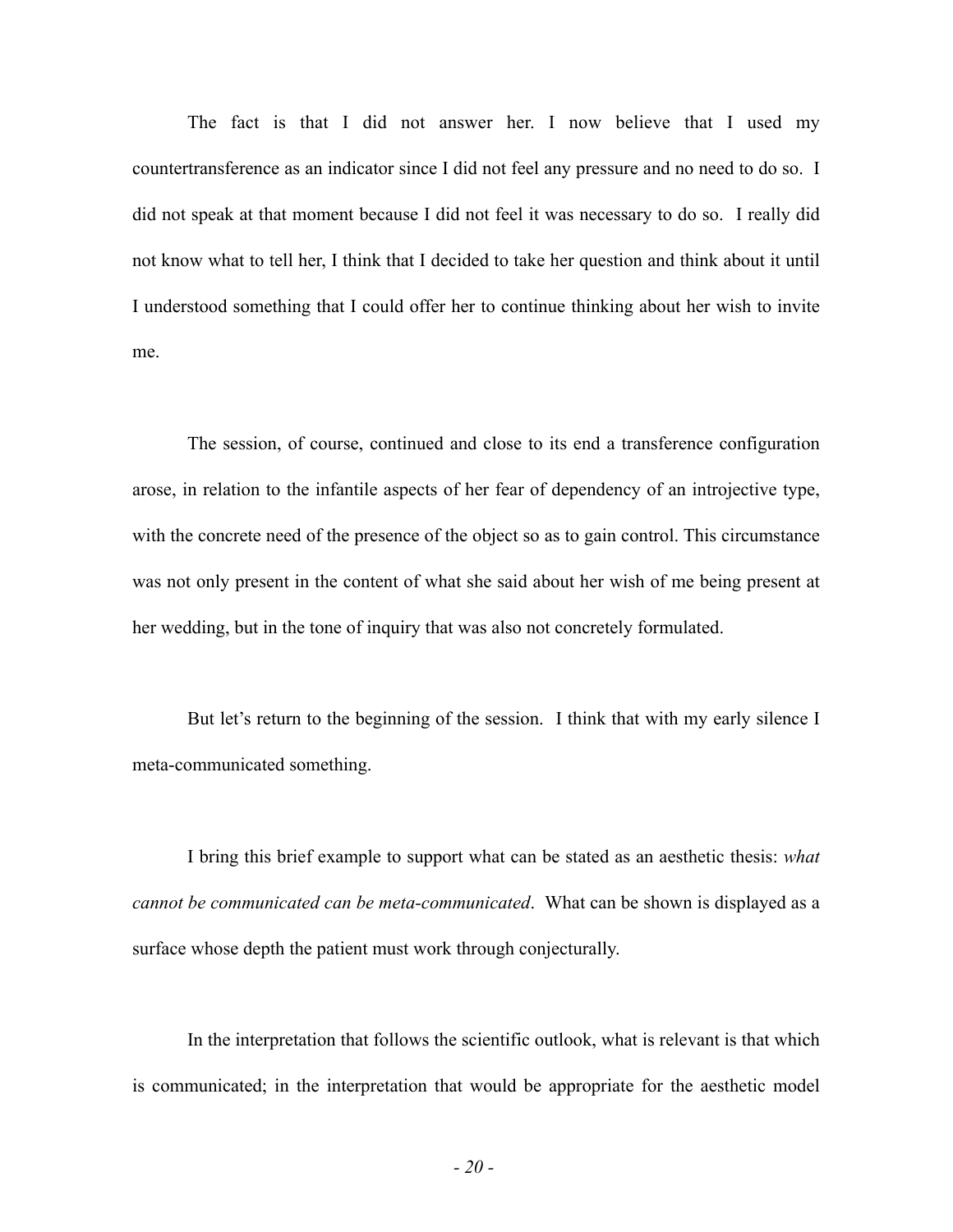The fact is that I did not answer her. I now believe that I used my countertransference as an indicator since I did not feel any pressure and no need to do so. I did not speak at that moment because I did not feel it was necessary to do so. I really did not know what to tell her, I think that I decided to take her question and think about it until I understood something that I could offer her to continue thinking about her wish to invite me.

The session, of course, continued and close to its end a transference configuration arose, in relation to the infantile aspects of her fear of dependency of an introjective type, with the concrete need of the presence of the object so as to gain control. This circumstance was not only present in the content of what she said about her wish of me being present at her wedding, but in the tone of inquiry that was also not concretely formulated.

But let's return to the beginning of the session. I think that with my early silence I meta-communicated something.

I bring this brief example to support what can be stated as an aesthetic thesis: *what cannot be communicated can be meta-communicated*. What can be shown is displayed as a surface whose depth the patient must work through conjecturally.

In the interpretation that follows the scientific outlook, what is relevant is that which is communicated; in the interpretation that would be appropriate for the aesthetic model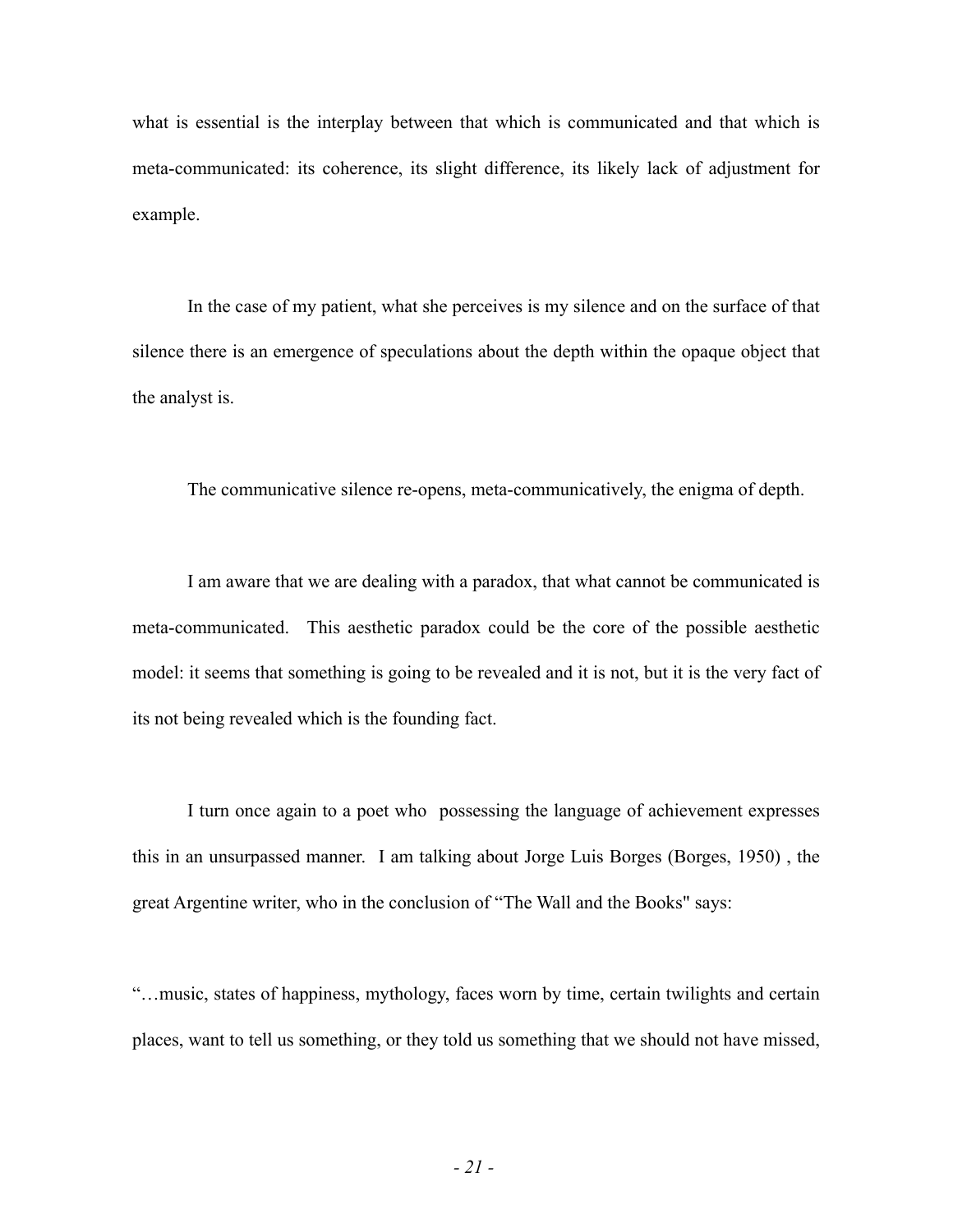what is essential is the interplay between that which is communicated and that which is meta-communicated: its coherence, its slight difference, its likely lack of adjustment for example.

In the case of my patient, what she perceives is my silence and on the surface of that silence there is an emergence of speculations about the depth within the opaque object that the analyst is.

The communicative silence re-opens, meta-communicatively, the enigma of depth.

I am aware that we are dealing with a paradox, that what cannot be communicated is meta-communicated. This aesthetic paradox could be the core of the possible aesthetic model: it seems that something is going to be revealed and it is not, but it is the very fact of its not being revealed which is the founding fact.

I turn once again to a poet who possessing the language of achievement expresses this in an unsurpassed manner. I am talking about Jorge Luis Borges (Borges, 1950) , the great Argentine writer, who in the conclusion of "The Wall and the Books" says:

"…music, states of happiness, mythology, faces worn by time, certain twilights and certain places, want to tell us something, or they told us something that we should not have missed,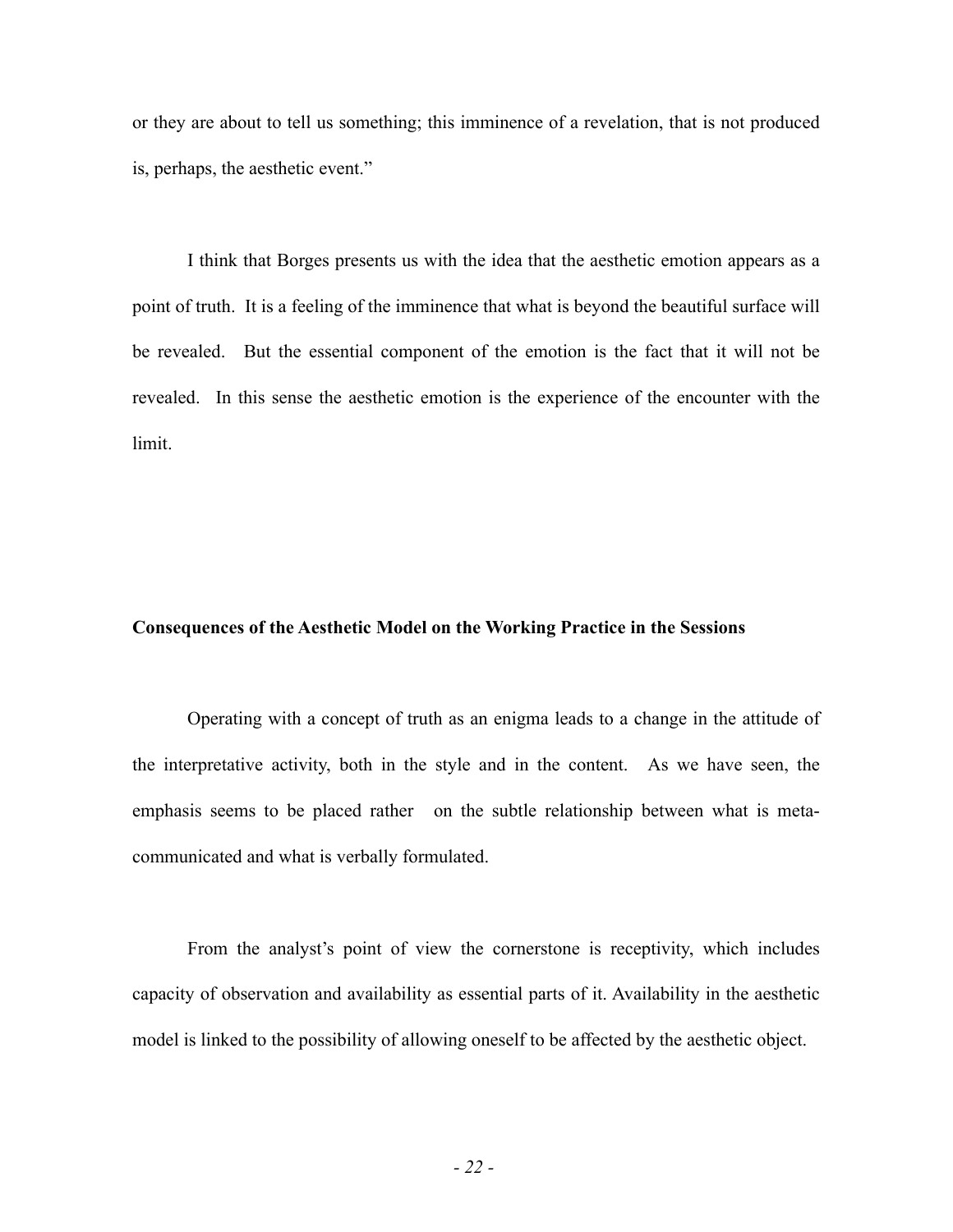or they are about to tell us something; this imminence of a revelation, that is not produced is, perhaps, the aesthetic event."

I think that Borges presents us with the idea that the aesthetic emotion appears as a point of truth. It is a feeling of the imminence that what is beyond the beautiful surface will be revealed. But the essential component of the emotion is the fact that it will not be revealed. In this sense the aesthetic emotion is the experience of the encounter with the limit.

### **Consequences of the Aesthetic Model on the Working Practice in the Sessions**

Operating with a concept of truth as an enigma leads to a change in the attitude of the interpretative activity, both in the style and in the content. As we have seen, the emphasis seems to be placed rather on the subtle relationship between what is metacommunicated and what is verbally formulated.

From the analyst's point of view the cornerstone is receptivity, which includes capacity of observation and availability as essential parts of it. Availability in the aesthetic model is linked to the possibility of allowing oneself to be affected by the aesthetic object.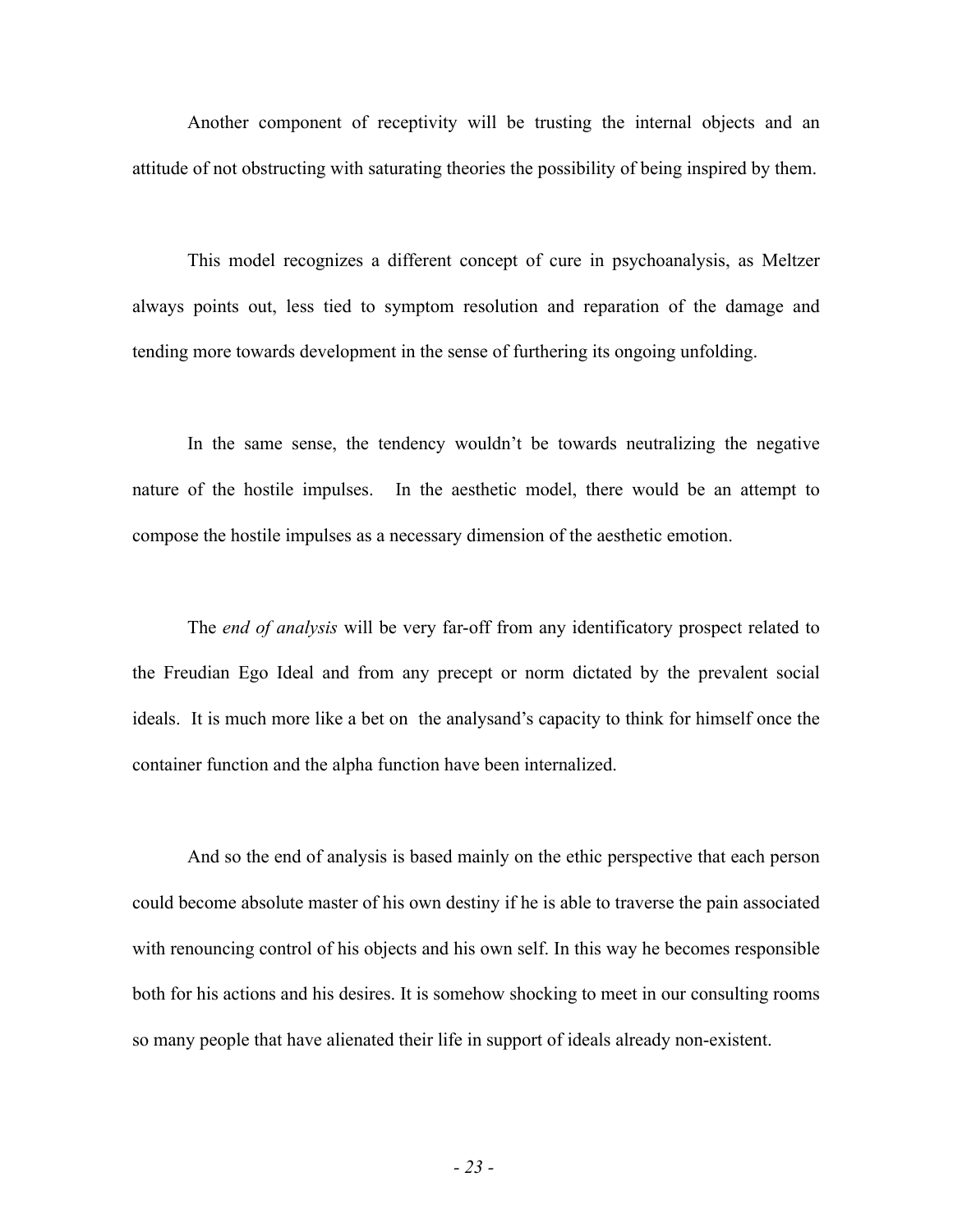Another component of receptivity will be trusting the internal objects and an attitude of not obstructing with saturating theories the possibility of being inspired by them.

This model recognizes a different concept of cure in psychoanalysis, as Meltzer always points out, less tied to symptom resolution and reparation of the damage and tending more towards development in the sense of furthering its ongoing unfolding.

In the same sense, the tendency wouldn't be towards neutralizing the negative nature of the hostile impulses. In the aesthetic model, there would be an attempt to compose the hostile impulses as a necessary dimension of the aesthetic emotion.

The *end of analysis* will be very far-off from any identificatory prospect related to the Freudian Ego Ideal and from any precept or norm dictated by the prevalent social ideals. It is much more like a bet on the analysand's capacity to think for himself once the container function and the alpha function have been internalized.

And so the end of analysis is based mainly on the ethic perspective that each person could become absolute master of his own destiny if he is able to traverse the pain associated with renouncing control of his objects and his own self. In this way he becomes responsible both for his actions and his desires. It is somehow shocking to meet in our consulting rooms so many people that have alienated their life in support of ideals already non-existent.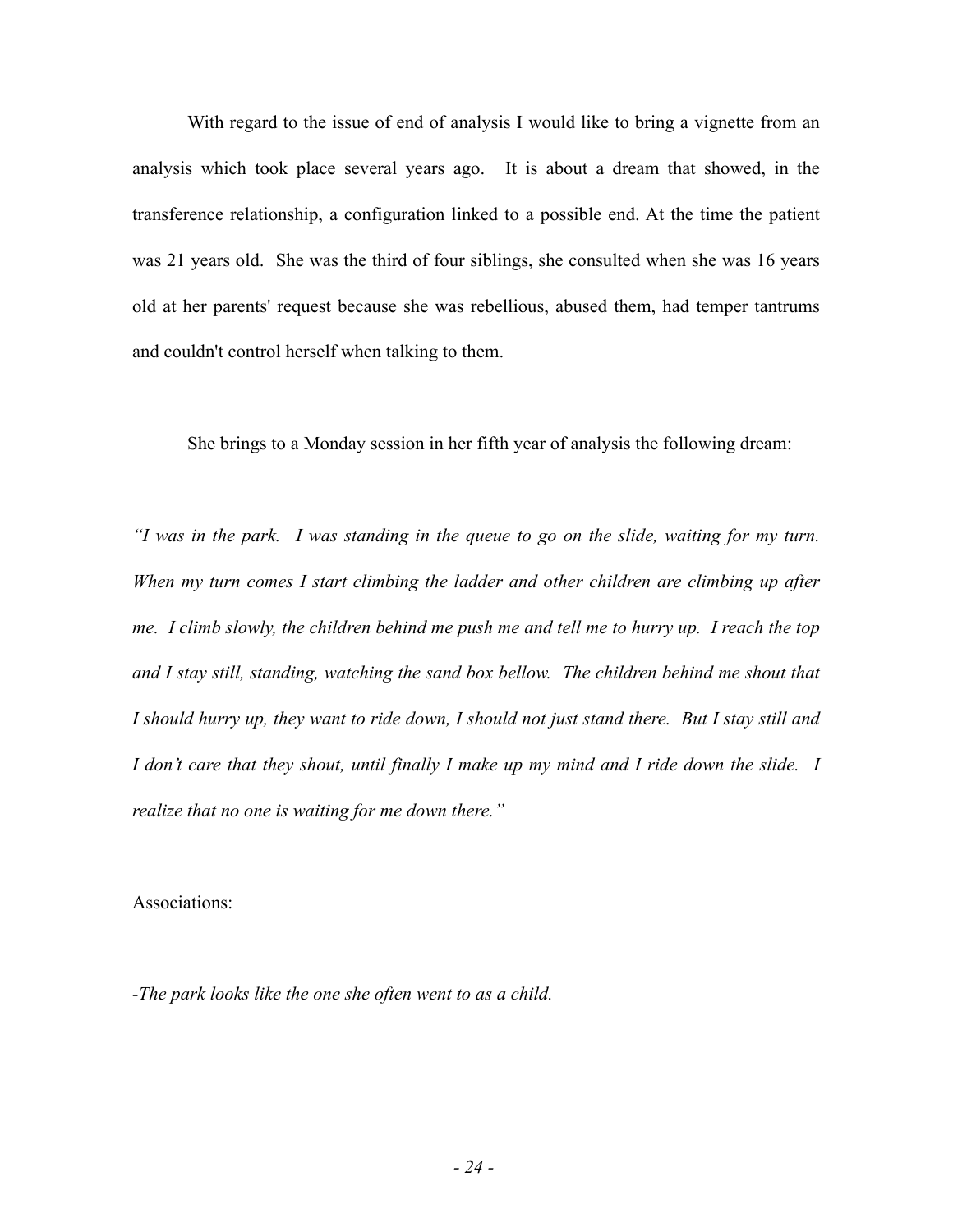With regard to the issue of end of analysis I would like to bring a vignette from an analysis which took place several years ago. It is about a dream that showed, in the transference relationship, a configuration linked to a possible end. At the time the patient was 21 years old. She was the third of four siblings, she consulted when she was 16 years old at her parents' request because she was rebellious, abused them, had temper tantrums and couldn't control herself when talking to them.

She brings to a Monday session in her fifth year of analysis the following dream:

*"I was in the park. I was standing in the queue to go on the slide, waiting for my turn. When my turn comes I start climbing the ladder and other children are climbing up after me. I climb slowly, the children behind me push me and tell me to hurry up. I reach the top and I stay still, standing, watching the sand box bellow. The children behind me shout that I should hurry up, they want to ride down, I should not just stand there. But I stay still and I don't care that they shout, until finally I make up my mind and I ride down the slide. I realize that no one is waiting for me down there."* 

Associations:

*-The park looks like the one she often went to as a child.*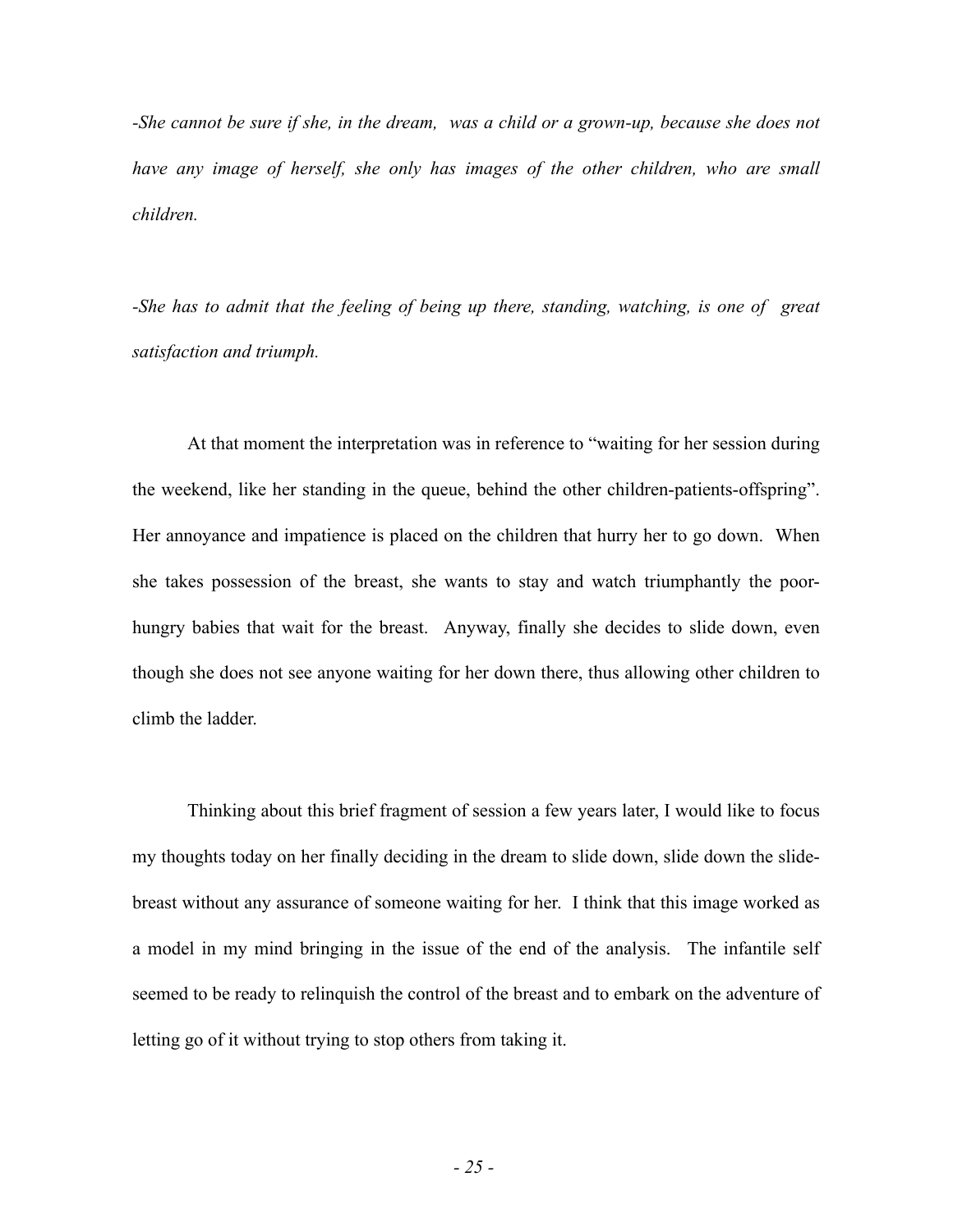*-She cannot be sure if she, in the dream, was a child or a grown-up, because she does not have any image of herself, she only has images of the other children, who are small children.*

*-She has to admit that the feeling of being up there, standing, watching, is one of great satisfaction and triumph.* 

At that moment the interpretation was in reference to "waiting for her session during the weekend, like her standing in the queue, behind the other children-patients-offspring". Her annoyance and impatience is placed on the children that hurry her to go down. When she takes possession of the breast, she wants to stay and watch triumphantly the poorhungry babies that wait for the breast. Anyway, finally she decides to slide down, even though she does not see anyone waiting for her down there, thus allowing other children to climb the ladder.

Thinking about this brief fragment of session a few years later, I would like to focus my thoughts today on her finally deciding in the dream to slide down, slide down the slidebreast without any assurance of someone waiting for her. I think that this image worked as a model in my mind bringing in the issue of the end of the analysis. The infantile self seemed to be ready to relinquish the control of the breast and to embark on the adventure of letting go of it without trying to stop others from taking it.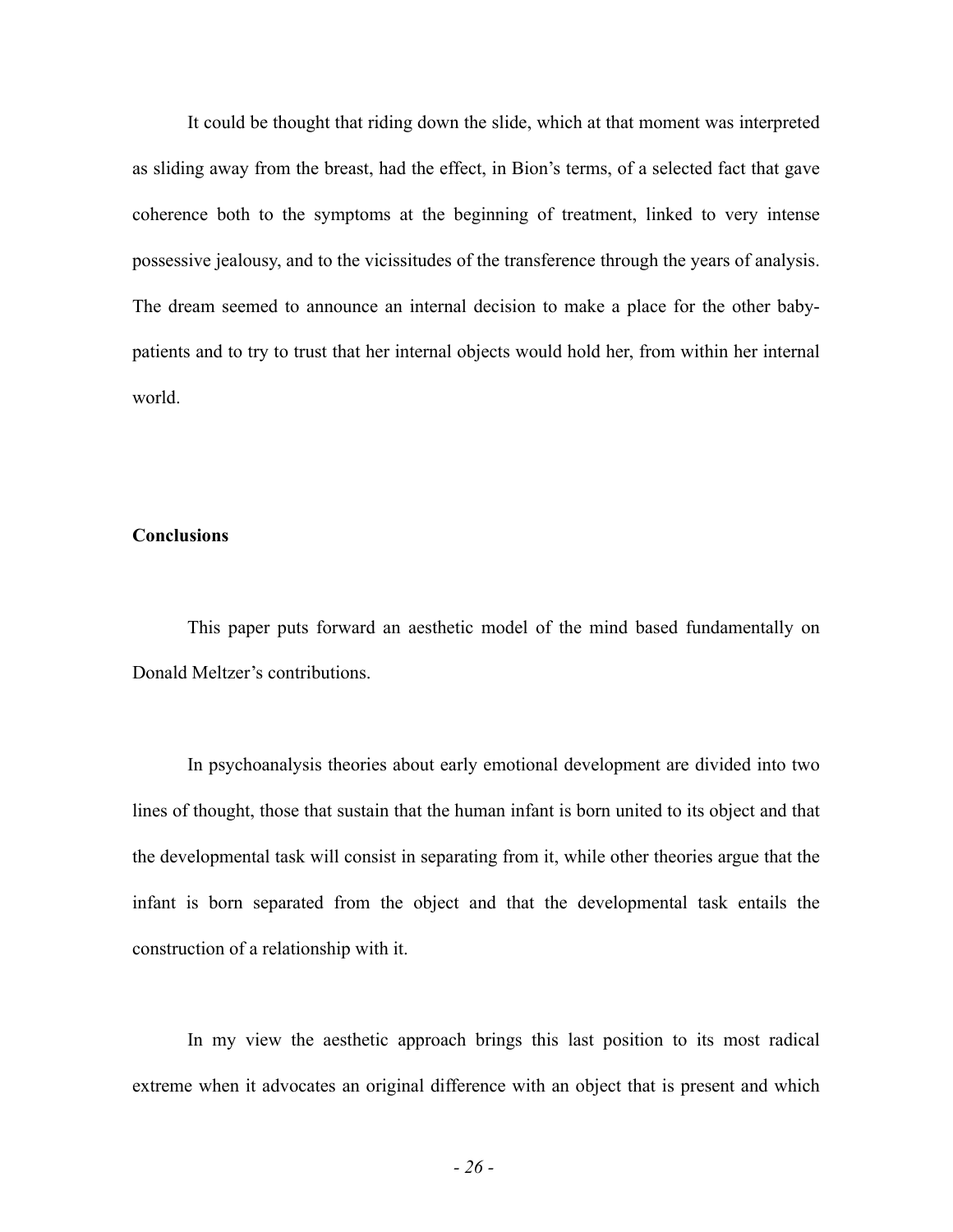It could be thought that riding down the slide, which at that moment was interpreted as sliding away from the breast, had the effect, in Bion's terms, of a selected fact that gave coherence both to the symptoms at the beginning of treatment, linked to very intense possessive jealousy, and to the vicissitudes of the transference through the years of analysis. The dream seemed to announce an internal decision to make a place for the other babypatients and to try to trust that her internal objects would hold her, from within her internal world.

## **Conclusions**

This paper puts forward an aesthetic model of the mind based fundamentally on Donald Meltzer's contributions.

In psychoanalysis theories about early emotional development are divided into two lines of thought, those that sustain that the human infant is born united to its object and that the developmental task will consist in separating from it, while other theories argue that the infant is born separated from the object and that the developmental task entails the construction of a relationship with it.

In my view the aesthetic approach brings this last position to its most radical extreme when it advocates an original difference with an object that is present and which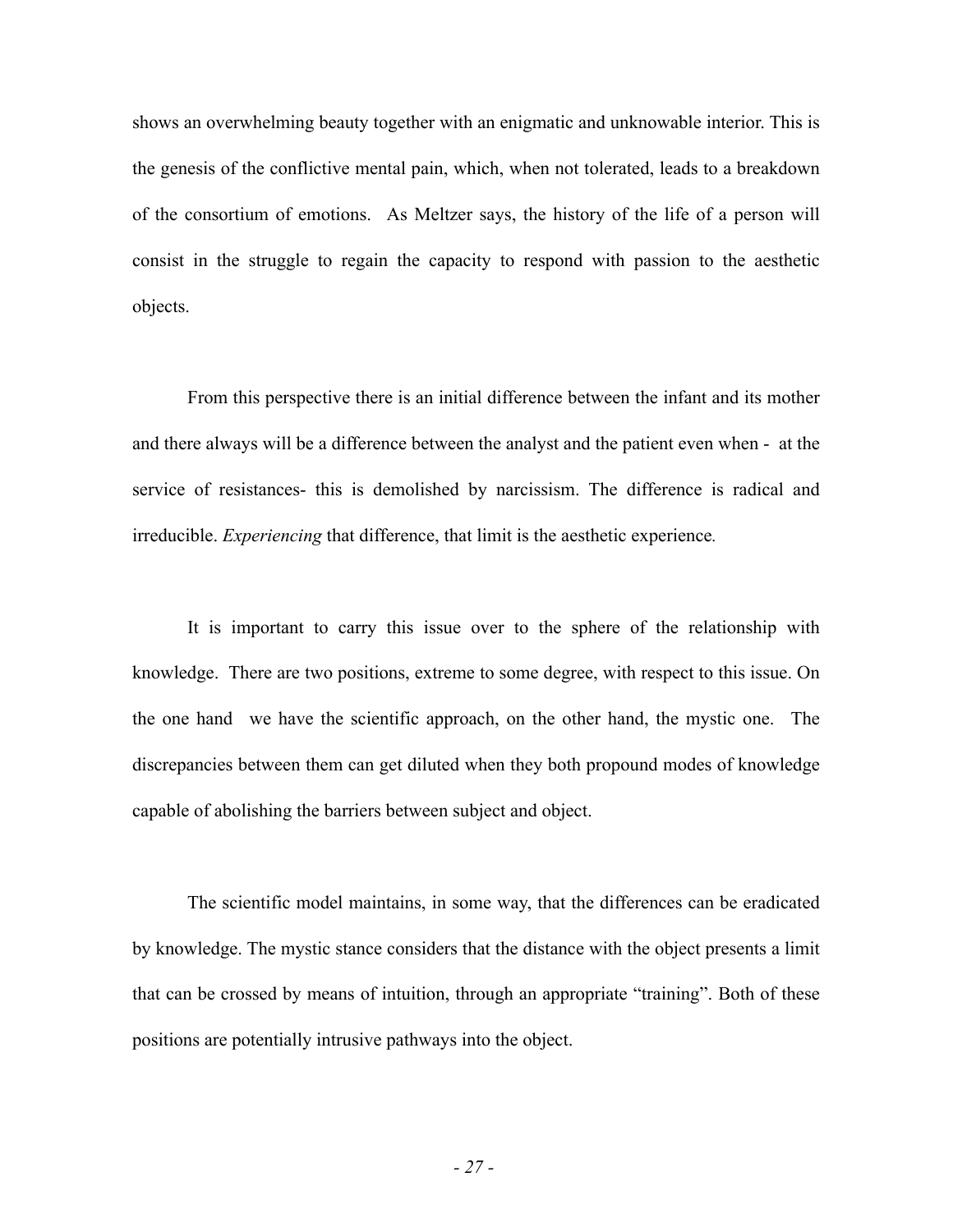shows an overwhelming beauty together with an enigmatic and unknowable interior. This is the genesis of the conflictive mental pain, which, when not tolerated, leads to a breakdown of the consortium of emotions. As Meltzer says, the history of the life of a person will consist in the struggle to regain the capacity to respond with passion to the aesthetic objects.

From this perspective there is an initial difference between the infant and its mother and there always will be a difference between the analyst and the patient even when - at the service of resistances- this is demolished by narcissism. The difference is radical and irreducible. *Experiencing* that difference, that limit is the aesthetic experience*.*

It is important to carry this issue over to the sphere of the relationship with knowledge. There are two positions, extreme to some degree, with respect to this issue. On the one hand we have the scientific approach, on the other hand, the mystic one. The discrepancies between them can get diluted when they both propound modes of knowledge capable of abolishing the barriers between subject and object.

The scientific model maintains, in some way, that the differences can be eradicated by knowledge. The mystic stance considers that the distance with the object presents a limit that can be crossed by means of intuition, through an appropriate "training". Both of these positions are potentially intrusive pathways into the object.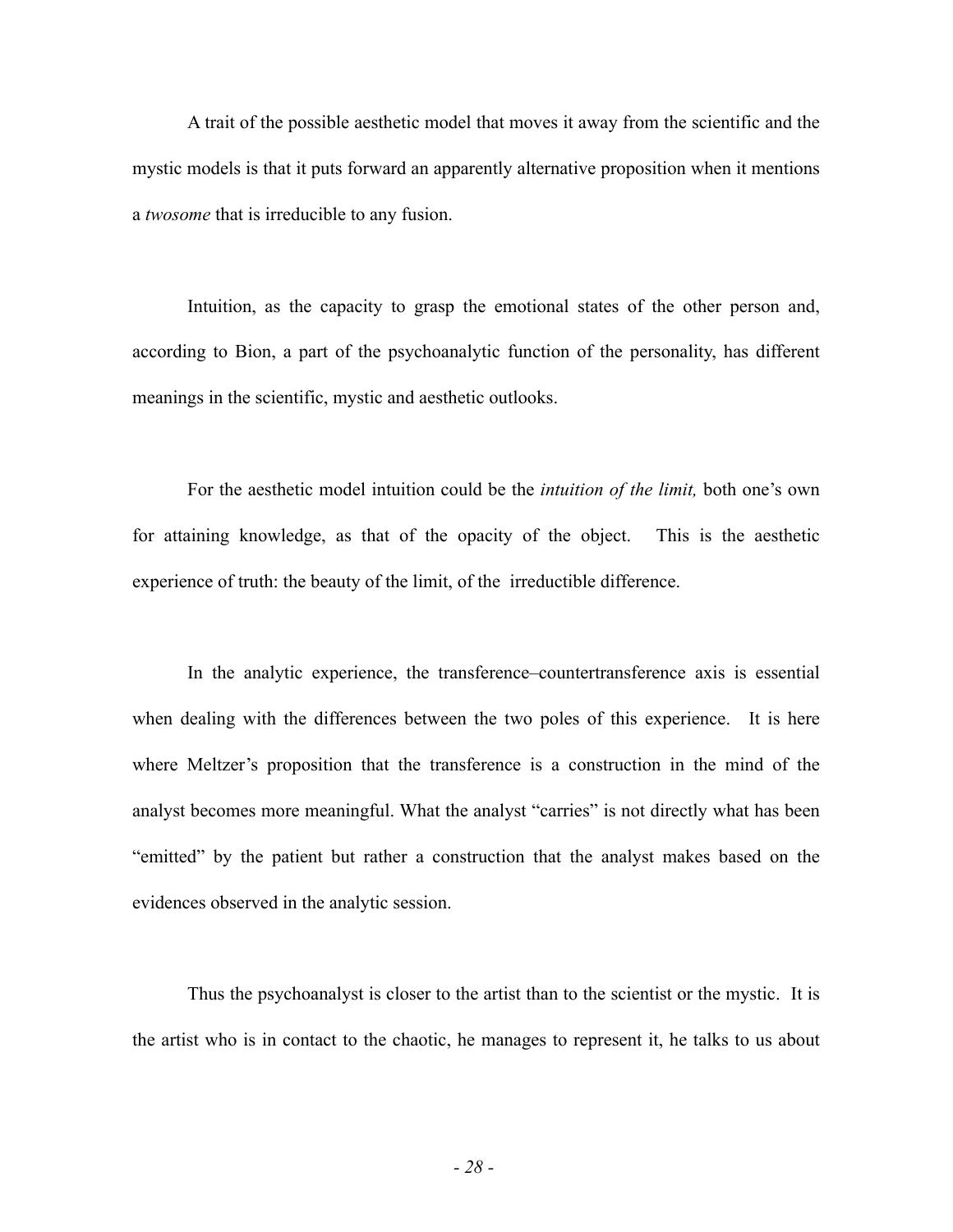A trait of the possible aesthetic model that moves it away from the scientific and the mystic models is that it puts forward an apparently alternative proposition when it mentions a *twosome* that is irreducible to any fusion.

Intuition, as the capacity to grasp the emotional states of the other person and, according to Bion, a part of the psychoanalytic function of the personality, has different meanings in the scientific, mystic and aesthetic outlooks.

For the aesthetic model intuition could be the *intuition of the limit,* both one's own for attaining knowledge, as that of the opacity of the object. This is the aesthetic experience of truth: the beauty of the limit, of the irreductible difference.

In the analytic experience, the transference–countertransference axis is essential when dealing with the differences between the two poles of this experience. It is here where Meltzer's proposition that the transference is a construction in the mind of the analyst becomes more meaningful. What the analyst "carries" is not directly what has been "emitted" by the patient but rather a construction that the analyst makes based on the evidences observed in the analytic session.

 Thus the psychoanalyst is closer to the artist than to the scientist or the mystic. It is the artist who is in contact to the chaotic, he manages to represent it, he talks to us about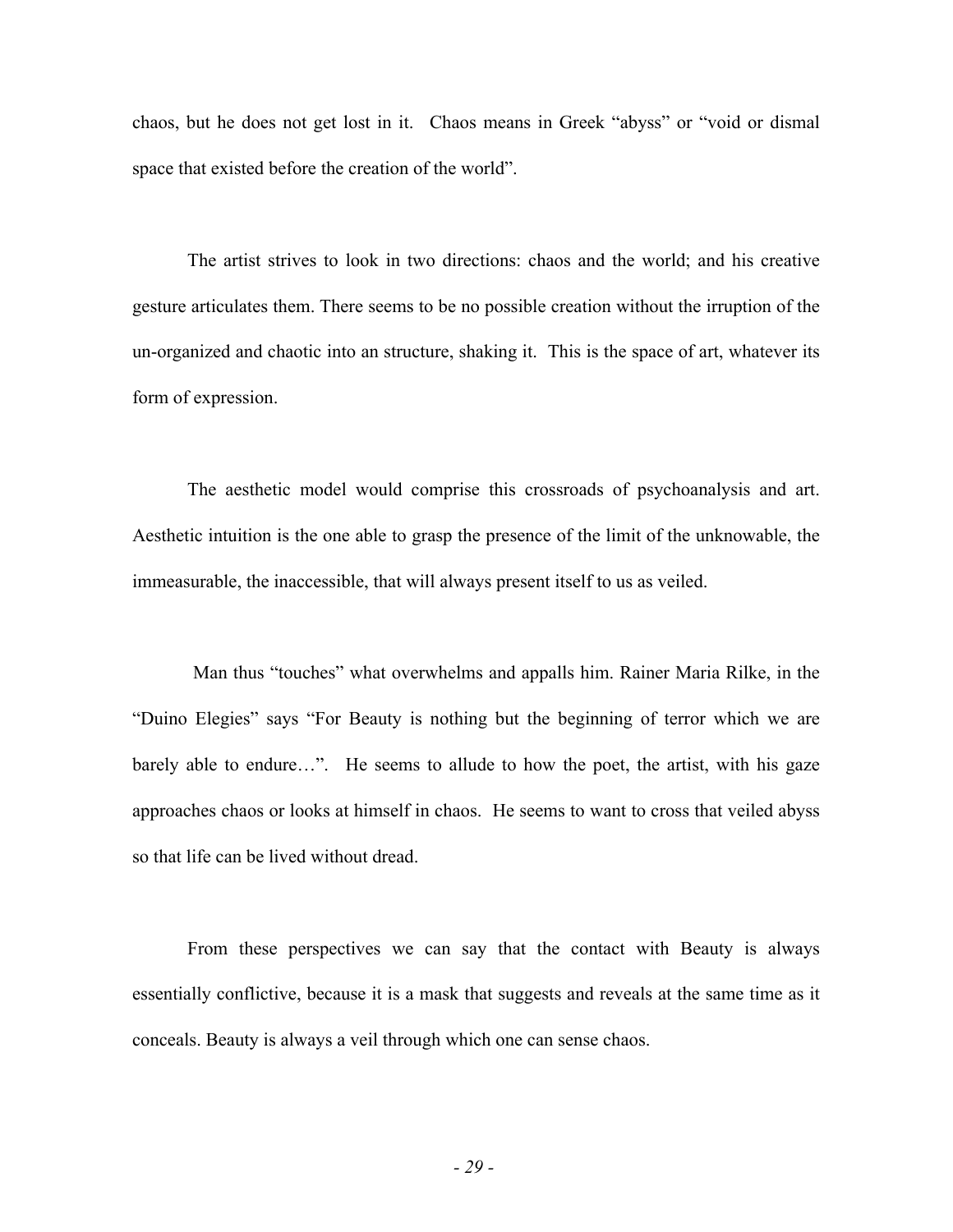chaos, but he does not get lost in it. Chaos means in Greek "abyss" or "void or dismal space that existed before the creation of the world".

The artist strives to look in two directions: chaos and the world; and his creative gesture articulates them. There seems to be no possible creation without the irruption of the un-organized and chaotic into an structure, shaking it. This is the space of art, whatever its form of expression.

The aesthetic model would comprise this crossroads of psychoanalysis and art. Aesthetic intuition is the one able to grasp the presence of the limit of the unknowable, the immeasurable, the inaccessible, that will always present itself to us as veiled.

 Man thus "touches" what overwhelms and appalls him. Rainer Maria Rilke, in the "Duino Elegies" says "For Beauty is nothing but the beginning of terror which we are barely able to endure...". He seems to allude to how the poet, the artist, with his gaze approaches chaos or looks at himself in chaos. He seems to want to cross that veiled abyss so that life can be lived without dread.

From these perspectives we can say that the contact with Beauty is always essentially conflictive, because it is a mask that suggests and reveals at the same time as it conceals. Beauty is always a veil through which one can sense chaos.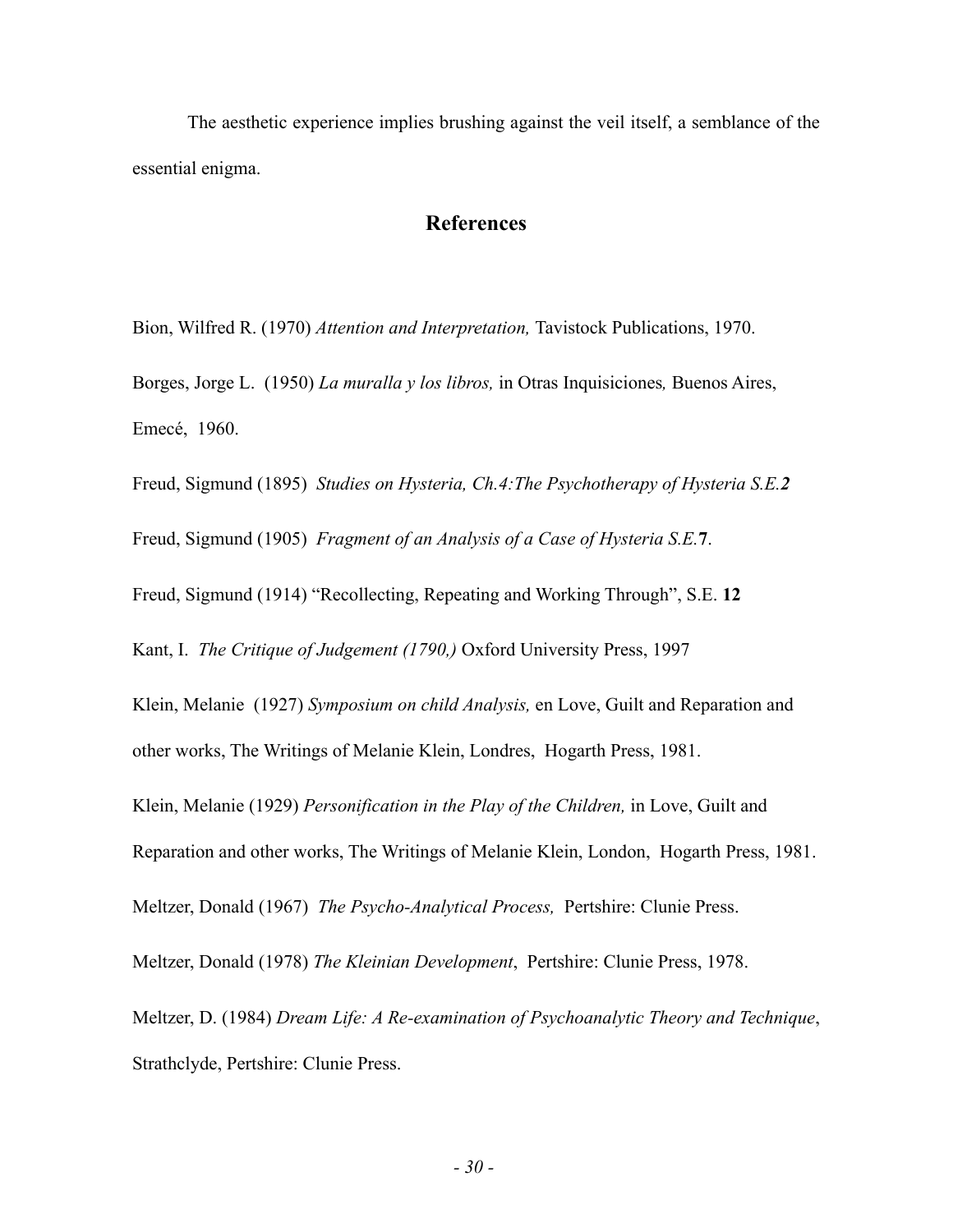The aesthetic experience implies brushing against the veil itself, a semblance of the essential enigma.

# **References**

Bion, Wilfred R. (1970) *Attention and Interpretation,* Tavistock Publications, 1970. Borges, Jorge L. (1950) *La muralla y los libros,* in Otras Inquisiciones*,* Buenos Aires, Emecé, 1960.

Freud, Sigmund (1895) *Studies on Hysteria, Ch.4:The Psychotherapy of Hysteria S.E.2*

Freud, Sigmund (1905) *Fragment of an Analysis of a Case of Hysteria S.E.***7**.

Freud, Sigmund (1914) "Recollecting, Repeating and Working Through", S.E. **12**

Kant, I. *The Critique of Judgement (1790,)* Oxford University Press, 1997

Klein, Melanie (1927) *Symposium on child Analysis,* en Love, Guilt and Reparation and other works, The Writings of Melanie Klein, Londres, Hogarth Press, 1981.

Klein, Melanie (1929) *Personification in the Play of the Children,* in Love, Guilt and

Reparation and other works, The Writings of Melanie Klein, London, Hogarth Press, 1981.

Meltzer, Donald (1967) *The Psycho-Analytical Process,* Pertshire: Clunie Press.

Meltzer, Donald (1978) *The Kleinian Development*, Pertshire: Clunie Press, 1978.

Meltzer, D. (1984) *Dream Life: A Re-examination of Psychoanalytic Theory and Technique*, Strathclyde, Pertshire: Clunie Press.